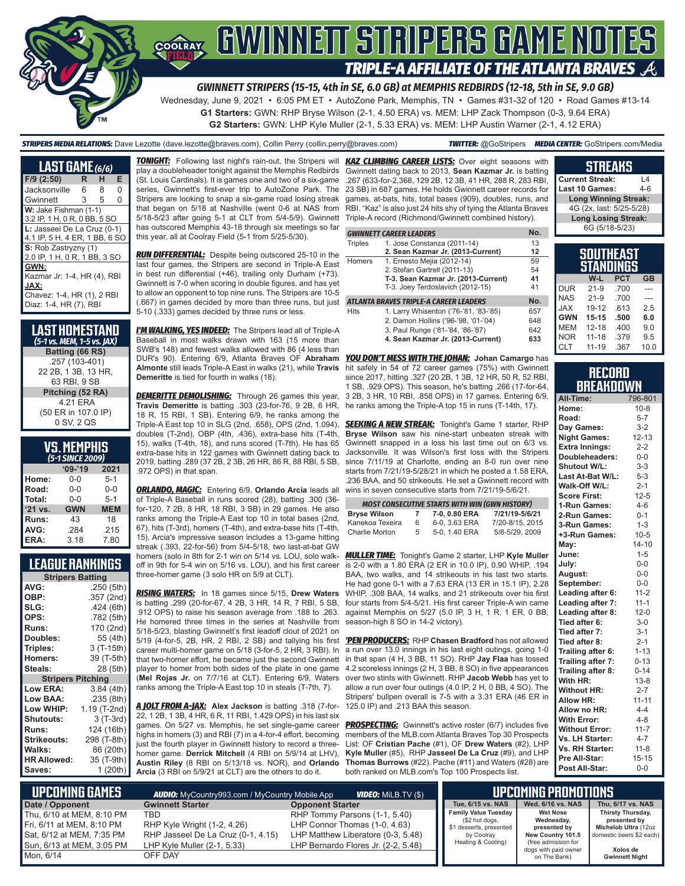

*GWINNETT STRIPERS (15-15, 4th in SE, 6.0 GB) at MEMPHIS REDBIRDS (12-18, 5th in SE, 9.0 GB)*

Wednesday, June 9, 2021 • 6:05 PM ET • AutoZone Park, Memphis, TN • Games #31-32 of 120 • Road Games #13-14 **G1 Starters:** GWN: RHP Bryse Wilson (2-1, 4.50 ERA) vs. MEM: LHP Zack Thompson (0-3, 9.64 ERA)

**G2 Starters:** GWN: LHP Kyle Muller (2-1, 5.33 ERA) vs. MEM: LHP Austin Warner (2-1, 4.12 ERA)

*STRIPERS MEDIA RELATIONS:* Dave Lezotte (dave.lezotte@braves.com), Collin Perry (collin.perry@braves.com) *TWITTER:* @GoStripers *MEDIA CENTER:* GoStripers.com/Media

| LAST GAME (6/6)               |   |   |   |  |
|-------------------------------|---|---|---|--|
| $F/9$ (2:50)                  | R | н | E |  |
| Jacksonville                  | 6 | 8 | 0 |  |
| Gwinnett                      | 3 | 5 | 0 |  |
| W: Jake Fishman (1-1)         |   |   |   |  |
| 3.2 IP, 1 H, 0 R, 0 BB, 5 SO  |   |   |   |  |
| L: Jasseel De La Cruz (0-1)   |   |   |   |  |
| 4.1 IP, 5 H, 4 ER, 1 BB, 6 SO |   |   |   |  |
| S: Rob Zastryzny (1)          |   |   |   |  |
| 2.0 IP, 1 H, 0 R, 1 BB, 3 SO  |   |   |   |  |
| GWN:                          |   |   |   |  |
| Kazmar Jr: 1-4, HR (4), RBI   |   |   |   |  |
| JAX:                          |   |   |   |  |
| Chavez: 1-4, HR (1), 2 RBI    |   |   |   |  |
| Diaz: 1-4, HR (7), RBI        |   |   |   |  |

| LAST HOMESTAND<br>(5-1 vs. MEM, 1-5 vs. JAX) |
|----------------------------------------------|
| Batting (66 RS)                              |
| .257 (103-401)                               |
| 22 2B, 1 3B, 13 HR,                          |
| 63 RBI, 9 SB                                 |
| Pitching (52 RA)                             |
| 4.21 ERA                                     |
| (50 ER in 107.0 IP)                          |
| 0 SV, 2 QS                                   |

| <b>VS. MEMPHIS</b> |  |  |
|--------------------|--|--|
| $E_A$ CINCE 2000)  |  |  |

| (5-1 SINCE 2009) |            |            |  |  |
|------------------|------------|------------|--|--|
|                  | $09 - 19$  | 2021       |  |  |
| Home:            | 0-0        | $5 - 1$    |  |  |
| Road:            | $0 - 0$    | $0 - 0$    |  |  |
| Total:           | $0 - 0$    | $5 - 1$    |  |  |
| '21 vs.          | <b>GWN</b> | <b>MEM</b> |  |  |
| Runs:            | 43         | 18         |  |  |
| AVG:             | .284       | .215       |  |  |
| ERA:             | 3.18       | 7.80       |  |  |

### **LEAGUE RANKINGS**

| <b>Stripers Batting</b>  |              |
|--------------------------|--------------|
| AVG:                     | .250(5th)    |
| OBP:                     | .357 (2nd)   |
| SLG:                     | .424 (6th)   |
| OPS:                     | .782 (5th)   |
| <b>Runs:</b>             | 170 (2nd)    |
| <b>Doubles:</b>          | 55 (4th)     |
| <b>Triples:</b>          | 3 (T-15th)   |
| <b>Homers:</b>           | 39 (T-5th)   |
| Steals:                  | 28 (5th)     |
| <b>Stripers Pitching</b> |              |
| <b>Low ERA:</b>          | 3.84 (4th)   |
| Low BAA:                 | .235(8th)    |
| Low WHIP:                | 1.19 (T-2nd) |
| Shutouts:                | $3(T-3rd)$   |
| <b>Runs:</b>             | 124 (16th)   |
| <b>Strikeouts:</b>       | 298 (T-8th)  |
| Walks:                   | 86 (20th)    |
| <b>HR Allowed:</b>       | 35 (T-9th)   |
| Saves:                   | 1(20th)      |

*TONIGHT:* Following last night's rain-out, the Stripers will *KAZ CLIMBING CAREER LISTS:* Over eight seasons with play a doubleheader tonight against the Memphis Redbirds (St. Louis Cardinals). It is games one and two of a six-game series, Gwinnett's first-ever trip to AutoZone Park. The Stripers are looking to snap a six-game road losing streak that began on 5/18 at Nashville (went 0-6 at NAS from 5/18-5/23 after going 5-1 at CLT from 5/4-5/9). Gwinnett has outscored Memphis 43-18 through six meetings so far this year, all at Coolray Field (5-1 from 5/25-5/30).

*RUN DIFFERENTIAL:* Despite being outscored 25-10 in the last four games, the Stripers are second in Triple-A East in best run differential (+46), trailing only Durham (+73). Gwinnett is 7-0 when scoring in double figures, and has yet to allow an opponent to top nine runs. The Stripers are 10-5 (.667) in games decided by more than three runs, but just 5-10 (.333) games decided by three runs or less.

*I'M WALKING, YES INDEED:* The Stripers lead all of Triple-A Baseball in most walks drawn with 163 (15 more than SWB's 148) and fewest walks allowed with 86 (4 less than DUR's 90). Entering 6/9, Atlanta Braves OF **Abraham**  *YOU DON'T MESS WITH THE JOHAN:* **Johan Camargo** has **Almonte** still leads Triple-A East in walks (21), while **Travis**  hit safely in 54 of 72 career games (75%) with Gwinnett **Demeritte** is tied for fourth in walks (18).

**DEMERITTE DEMOLISHING:** Through 26 games this year, **Travis Demeritte** is batting .303 (23-for-76, 9 2B, 6 HR, 18 R, 15 RBI, 1 SB). Entering 6/9, he ranks among the Triple-A East top 10 in SLG (2nd, .658), OPS (2nd, 1.094), doubles (T-2nd), OBP (4th, .436), extra-base hits (T-4th, 15), walks (T-4th, 18), and runs scored (T-7th). He has 65 extra-base hits in 122 games with Gwinnett dating back to 2019, batting .289 (37 2B, 2 3B, 26 HR, 86 R, 88 RBI, 5 SB, .972 OPS) in that span.

*ORLANDO, MAGIC:* Entering 6/9, **Orlando Arcia** leads all of Triple-A Baseball in runs scored (28), batting .300 (36 for-120, 7 2B, 8 HR, 18 RBI, 3 SB) in 29 games. He also ranks among the Triple-A East top 10 in total bases (2nd, 67), hits (T-3rd), homers (T-4th), and extra-base hits (T-4th, 15). Arcia's impressive season includes a 13-game hitting streak (.393, 22-for-56) from 5/4-5/18, two last-at-bat GW homers (solo in 8th for 2-1 win on 5/14 vs. LOU, solo walkoff in 9th for 5-4 win on 5/16 vs. LOU), and his first career

three-homer game (3 solo HR on 5/9 at CLT).

*RISING WATERS:* In 18 games since 5/15, **Drew Waters** is batting .299 (20-for-67, 4 2B, 3 HR, 14 R, 7 RBI, 5 SB, .912 OPS) to raise his season average from .188 to .263. He homered three times in the series at Nashville from 5/18-5/23, blasting Gwinnett's first leadoff clout of 2021 on 5/19 (4-for-5, 2B, HR, 2 RBI, 2 SB) and tallying his first *'PEN PRODUCERS:* RHP **Chasen Bradford** has not allowed career multi-homer game on 5/18 (3-for-5, 2 HR, 3 RBI). In that two-homer effort, he became just the second Gwinnett in that span (4 H, 3 BB, 11 SO). RHP **Jay Flaa** has tossed player to homer from both sides of the plate in one game (**Mel Rojas Jr.** on 7/7/16 at CLT). Entering 6/9, Waters ranks among the Triple-A East top 10 in steals (T-7th, 7).

*A JOLT FROM A-JAX:* **Alex Jackson** is batting .318 (7-for-22, 1 2B, 1 3B, 4 HR, 6 R, 11 RBI, 1.429 OPS) in his last six games. On 5/27 vs. Memphis, he set single-game career highs in homers (3) and RBI (7) in a 4-for-4 effort, becoming just the fourth player in Gwinnett history to record a threehomer game. **Derrick Mitchell** (4 RBI on 5/9/14 at LHV), **Austin Riley** (8 RBI on 5/13/18 vs. NOR), and **Orlando Arcia** (3 RBI on 5/9/21 at CLT) are the others to do it.

Gwinnett dating back to 2013, **Sean Kazmar Jr.** is batting .267 (633-for-2,368, 129 2B, 12 3B, 41 HR, 288 R, 283 RBI, 23 SB) in 687 games. He holds Gwinnett career records for games, at-bats, hits, total bases (909), doubles, runs, and RBI. "Kaz" is also just 24 hits shy of tying the Atlanta Braves Triple-A record (Richmond/Gwinnett combined history).

|                | <b>GWINNETT CAREER LEADERS</b>         | No. |
|----------------|----------------------------------------|-----|
| <b>Triples</b> | 1. Jose Constanza (2011-14)            | 13  |
|                | 2. Sean Kazmar Jr. (2013-Current)      | 12  |
| Homers         | 1. Ernesto Mejia (2012-14)             | 59  |
|                | 2. Stefan Gartrell (2011-13)           | 54  |
|                | T-3. Sean Kazmar Jr. (2013-Current)    | 41  |
|                | T-3. Joey Terdoslavich (2012-15)       | 41  |
|                | ATLANTA BRAVES TRIPLE-A CAREER LEADERS | No. |
| <b>Hits</b>    | 1. Larry Whisenton ('76-'81, '83-'85)  | 657 |
|                | 2. Damon Hollins ('96-'98, '01-'04)    | 648 |
|                | 3. Paul Runge ('81-'84, '86-'87)       | 642 |
|                | 4. Sean Kazmar Jr. (2013-Current)      | 633 |

since 2017, hitting .327 (20 2B, 1 3B, 12 HR, 50 R, 52 RBI, 1 SB, .929 OPS). This season, he's batting .266 (17-for-64, 3 2B, 3 HR, 10 RBI, .858 OPS) in 17 games. Entering 6/9, he ranks among the Triple-A top 15 in runs (T-14th, 17).

**SEEKING A NEW STREAK:** Tonight's Game 1 starter, RHP **Bryse Wilson** saw his nine-start unbeaten streak with Gwinnett snapped in a loss his last time out on 6/3 vs. Jacksonville. It was Wilson's first loss with the Stripers since 7/11/19 at Charlotte, ending an 8-0 run over nine starts from 7/21/19-5/28/21 in which he posted a 1.58 ERA, .236 BAA, and 50 strikeouts. He set a Gwinnett record with wins in seven consecutive starts from 7/21/19-5/6/21.

| <b>MOST CONSECUTIVE STARTS WITH WIN (GWN HISTORY)</b> |    |               |                 |  |
|-------------------------------------------------------|----|---------------|-----------------|--|
| <b>Bryse Wilson</b>                                   | 7  | 7-0, 0.80 ERA | 7/21/19-5/6/21  |  |
| Kanekoa Texeira                                       | 6  | 6-0.3.63 ERA  | 7/20-8/15, 2015 |  |
| Charlie Morton                                        | 5. | 5-0, 1.40 ERA | 5/8-5/29, 2009  |  |

*MULLER TIME:* Tonight's Game 2 starter, LHP **Kyle Muller** is 2-0 with a 1.80 ERA (2 ER in 10.0 IP), 0.90 WHIP, .194 BAA, two walks, and 14 strikeouts in his last two starts. He had gone 0-1 with a 7.63 ERA (13 ER in 15.1 IP), 2.28 WHIP, .308 BAA, 14 walks, and 21 strikeouts over his first four starts from 5/4-5/21. His first career Triple-A win came against Memphis on 5/27 (5.0 IP, 3 H, 1 R, 1 ER, 0 BB, season-high 8 SO in 14-2 victory).

a run over 13.0 innings in his last eight outings, going 1-0 4.2 scoreless innings (2 H, 3 BB, 8 SO) in five appearances over two stints with Gwinnett. RHP **Jacob Webb** has yet to allow a run over four outings (4.0 IP, 2 H, 0 BB, 4 SO). The Stripers' bullpen overall is 7-5 with a 3.31 ERA (46 ER in 125.0 IP) and .213 BAA this season.

**PROSPECTING:** Gwinnett's active roster (6/7) includes five members of the MLB.com Atlanta Braves Top 30 Prospects List: OF **Cristian Pache** (#1), OF **Drew Waters** (#2), LHP **Kyle Muller** (#5), RHP **Jasseel De La Cruz** (#9), and LHP **Thomas Burrows** (#22). Pache (#11) and Waters (#28) are both ranked on MLB.com's Top 100 Prospects list.

| Last 10 Games:                | $4 - 6$ |
|-------------------------------|---------|
| <b>Long Winning Streak:</b>   |         |
| 4G (2x, last: 5/25-5/28)      |         |
| <b>Long Losing Streak:</b>    |         |
| 6G (5/18-5/23)                |         |
|                               |         |
| <b>SOUTHEAST</b><br>STANDINGS |         |

**STREAKS Current Streak:** L4

| aianuinua  |           |            |           |  |
|------------|-----------|------------|-----------|--|
|            | W-L       | <b>PCT</b> | <b>GB</b> |  |
| <b>DUR</b> | $21 - 9$  | .700       |           |  |
| <b>NAS</b> | $21 - 9$  | .700       |           |  |
| <b>JAX</b> | 19-12     | .613       | 25        |  |
| <b>GWN</b> | $15 - 15$ | .500       | 6.0       |  |
| <b>MEM</b> | $12 - 18$ | .400       | 9.0       |  |
| <b>NOR</b> | $11 - 18$ | .379       | 9.5       |  |
| CLT        | $11 - 19$ | .367       | 10.0      |  |

#### **RECORD BREAKDOWN**

| All-Time:             | 796-801   |
|-----------------------|-----------|
| Home:                 | $10 - 8$  |
| Road:                 | $5 - 7$   |
| Day Games:            | $3 - 2$   |
| <b>Night Games:</b>   | $12 - 13$ |
| <b>Extra Innings:</b> | $2 - 2$   |
| Doubleheaders:        | $0-0$     |
| Shutout W/L:          | $3 - 3$   |
| Last At-Bat W/L:      | $5 - 3$   |
| Walk-Off W/L:         | $2 - 1$   |
| <b>Score First:</b>   | $12 - 5$  |
| 1-Run Games:          | $4 - 6$   |
| 2-Run Games:          | $0 - 1$   |
| 3-Run Games:          | $1 - 3$   |
| +3-Run Games:         | $10 - 5$  |
| May:                  | $14 - 10$ |
| June:                 | $1 - 5$   |
| July:                 | $0 - 0$   |
| August:               | $0-0$     |
| September:            | $0-0$     |
| Leading after 6:      | $11 - 2$  |
| Leading after 7:      | $11 - 1$  |
| Leading after 8:      | $12 - 0$  |
| Tied after 6:         | $3 - 0$   |
| Tied after 7:         | $3 - 1$   |
| Tied after 8:         | $2 - 1$   |
| Trailing after 6:     | $1 - 13$  |
| Trailing after 7:     | $0 - 13$  |
| Trailing after 8:     | $0 - 14$  |
| With HR:              | $13 - 8$  |
| <b>Without HR:</b>    | $2 - 7$   |
| <b>Allow HR:</b>      | $11 - 11$ |
| Allow no HR:          | $4 - 4$   |
| <b>With Error:</b>    | $4 - 8$   |
| <b>Without Error:</b> | $11 - 7$  |
| Vs. LH Starter:       | $4 - 7$   |
| Vs. RH Starter:       | $11 - 8$  |
| Pre All-Star:         | $15 - 15$ |
| Post All-Star:        | $0 - 0$   |

| L UPCOMING GAMES I        | <b>AUDIO:</b> MyCountry993.com / MyCountry Mobile App | <b>VIDEO:</b> MiLB.TV (\$)          |                                           | LUPCOMING PROMOTIONS !                      |                                      |
|---------------------------|-------------------------------------------------------|-------------------------------------|-------------------------------------------|---------------------------------------------|--------------------------------------|
| Date / Opponent           | <b>Gwinnett Starter</b>                               | <b>Opponent Starter</b>             | Tue. 6/15 vs. NAS                         | Wed. 6/16 vs. NAS                           | Thu, 6/17 vs. NAS                    |
| Thu, 6/10 at MEM, 8:10 PM | TBD                                                   | RHP Tommy Parsons (1-1, 5.40)       | <b>Family Value Tuesday</b>               | <b>Wet Nose</b><br>Wednesday,               | Thirsty Thursday,                    |
| Fri, 6/11 at MEM, 8:10 PM | RHP Kyle Wright (1-2, 4.26)                           | LHP Connor Thomas (1-0, 4.63)       | (\$2 hot dogs,<br>\$1 desserts, presented | presented by                                | presented by<br>Michelob Ultra (12oz |
| Sat, 6/12 at MEM, 7:35 PM | RHP Jasseel De La Cruz (0-1, 4.15)                    | LHP Matthew Liberatore (0-3, 5.48)  | by Coolray                                | New Country 101.5                           | domestic beers \$2 each)             |
| Sun, 6/13 at MEM, 3:05 PM | LHP Kyle Muller (2-1, 5.33)                           | LHP Bernardo Flores Jr. (2-2, 5.48) | Heating & Cooling)                        | (free admission for<br>dogs with paid owner | Xolos de                             |
| Mon. 6/14                 | OFF DAY                                               |                                     |                                           | on The Bank)                                | <b>Gwinnett Night</b>                |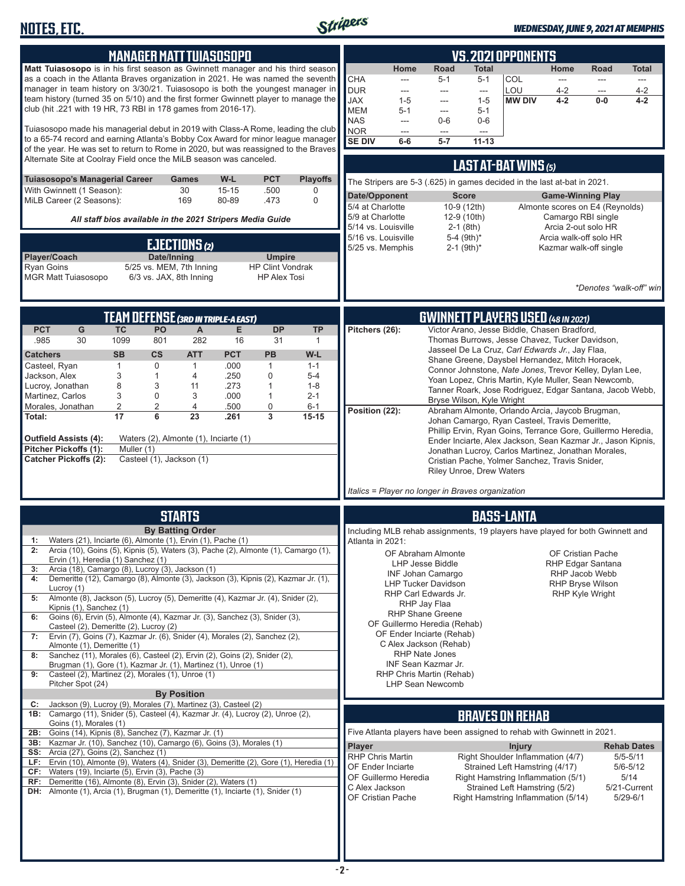

| <b>MANAGER MATT TUIASOSOPO</b>                                                                                                                                                                                                                                                                                                                                                                                                                                                                                                                                                                                                                                                                                                                                                                                                                                                                                                                                                                                                                                                                                             | <b>VS. 2021 OPPONENTS</b>                                                                                                                                                                                                                                                                                                                                                                                                                                                                                                                                                                                                                                                                                                                                                                                                                                                                  |
|----------------------------------------------------------------------------------------------------------------------------------------------------------------------------------------------------------------------------------------------------------------------------------------------------------------------------------------------------------------------------------------------------------------------------------------------------------------------------------------------------------------------------------------------------------------------------------------------------------------------------------------------------------------------------------------------------------------------------------------------------------------------------------------------------------------------------------------------------------------------------------------------------------------------------------------------------------------------------------------------------------------------------------------------------------------------------------------------------------------------------|--------------------------------------------------------------------------------------------------------------------------------------------------------------------------------------------------------------------------------------------------------------------------------------------------------------------------------------------------------------------------------------------------------------------------------------------------------------------------------------------------------------------------------------------------------------------------------------------------------------------------------------------------------------------------------------------------------------------------------------------------------------------------------------------------------------------------------------------------------------------------------------------|
| Matt Tuiasosopo is in his first season as Gwinnett manager and his third season<br>as a coach in the Atlanta Braves organization in 2021. He was named the seventh<br>manager in team history on 3/30/21. Tuiasosopo is both the youngest manager in<br>team history (turned 35 on 5/10) and the first former Gwinnett player to manage the<br>club (hit .221 with 19 HR, 73 RBI in 178 games from 2016-17).<br>Tuiasosopo made his managerial debut in 2019 with Class-A Rome, leading the club                                                                                                                                                                                                                                                                                                                                                                                                                                                                                                                                                                                                                           | <b>Road</b><br>Home<br>Home<br>Total<br>Road<br>Total<br>CHA<br>COL<br>$5 - 1$<br>$5 - 1$<br>$\overline{\phantom{a}}$<br>---<br>---<br>---<br><b>DUR</b><br>LOU<br>$4 - 2$<br>$4 - 2$<br>---<br>$\overline{a}$<br>$\overline{a}$<br>---<br><b>JAX</b><br>$4 - 2$<br>$1 - 5$<br><b>MW DIV</b><br>$0-0$<br>$4 - 2$<br>$1 - 5$<br>---<br><b>MEM</b><br>$5 - 1$<br>$5 - 1$<br>---<br><b>NAS</b><br>$0-6$<br>$0-6$<br>---<br><b>NOR</b><br>---<br>---<br>$\overline{\phantom{a}}$                                                                                                                                                                                                                                                                                                                                                                                                               |
| to a 65-74 record and earning Atlanta's Bobby Cox Award for minor league manager<br>of the year. He was set to return to Rome in 2020, but was reassigned to the Braves<br>Alternate Site at Coolray Field once the MiLB season was canceled.                                                                                                                                                                                                                                                                                                                                                                                                                                                                                                                                                                                                                                                                                                                                                                                                                                                                              | <b>SE DIV</b><br>$5 - 7$<br>$11 - 13$<br>$6-6$                                                                                                                                                                                                                                                                                                                                                                                                                                                                                                                                                                                                                                                                                                                                                                                                                                             |
| <b>PCT</b><br>Tuiasosopo's Managerial Career<br>W-L<br><b>Playoffs</b><br><b>Games</b>                                                                                                                                                                                                                                                                                                                                                                                                                                                                                                                                                                                                                                                                                                                                                                                                                                                                                                                                                                                                                                     | <b>LAST AT-BAT WINS (5)</b><br>The Stripers are 5-3 (.625) in games decided in the last at-bat in 2021.                                                                                                                                                                                                                                                                                                                                                                                                                                                                                                                                                                                                                                                                                                                                                                                    |
| With Gwinnett (1 Season):<br>30<br>$15 - 15$<br>.500<br>0<br>MiLB Career (2 Seasons):<br>169<br>80-89<br>.473<br>0                                                                                                                                                                                                                                                                                                                                                                                                                                                                                                                                                                                                                                                                                                                                                                                                                                                                                                                                                                                                         | Date/Opponent<br><b>Game-Winning Play</b><br><b>Score</b><br>5/4 at Charlotte<br>10-9 (12th)<br>Almonte scores on E4 (Reynolds)                                                                                                                                                                                                                                                                                                                                                                                                                                                                                                                                                                                                                                                                                                                                                            |
| All staff bios available in the 2021 Stripers Media Guide                                                                                                                                                                                                                                                                                                                                                                                                                                                                                                                                                                                                                                                                                                                                                                                                                                                                                                                                                                                                                                                                  | 5/9 at Charlotte<br>12-9 (10th)<br>Camargo RBI single<br>5/14 vs. Louisville<br>$2-1$ (8th)<br>Arcia 2-out solo HR<br>5-4 $(9th)*$<br>Arcia walk-off solo HR<br>5/16 vs. Louisville                                                                                                                                                                                                                                                                                                                                                                                                                                                                                                                                                                                                                                                                                                        |
| EJECTIONS (2)<br>Player/Coach<br>Date/Inning<br><b>Umpire</b><br>Ryan Goins<br>5/25 vs. MEM, 7th Inning<br><b>HP Clint Vondrak</b><br>6/3 vs. JAX, 8th Inning<br><b>MGR Matt Tuiasosopo</b><br><b>HP Alex Tosi</b>                                                                                                                                                                                                                                                                                                                                                                                                                                                                                                                                                                                                                                                                                                                                                                                                                                                                                                         | 5/25 vs. Memphis<br>$2-1$ (9th) <sup>*</sup><br>Kazmar walk-off single<br>*Denotes "walk-off" win                                                                                                                                                                                                                                                                                                                                                                                                                                                                                                                                                                                                                                                                                                                                                                                          |
| <b>TEAM DEFENSE (3RD IN TRIPLE-A EAST)</b>                                                                                                                                                                                                                                                                                                                                                                                                                                                                                                                                                                                                                                                                                                                                                                                                                                                                                                                                                                                                                                                                                 | <b>GWINNETT PLAYERS USED (48 IN 2021)</b>                                                                                                                                                                                                                                                                                                                                                                                                                                                                                                                                                                                                                                                                                                                                                                                                                                                  |
| G<br><b>DP</b><br><b>PCT</b><br><b>TC</b><br>PO<br><b>TP</b><br>A<br>Е<br>282<br>30<br>1099<br>16<br>31<br>.985<br>801<br>1<br><b>SB</b><br><b>CS</b><br><b>PCT</b><br><b>PB</b><br>W-L<br><b>Catchers</b><br><b>ATT</b><br>$\mathbf{1}$<br>0<br>Casteel, Ryan<br>$\mathbf{1}$<br>.000<br>$\mathbf{1}$<br>$1 - 1$<br>3<br>$\mathbf{1}$<br>.250<br>0<br>Jackson, Alex<br>$5 - 4$<br>4<br>8<br>Lucroy, Jonathan<br>3<br>.273<br>11<br>1<br>$1 - 8$<br>3<br>$\mathbf 0$<br>Martinez, Carlos<br>.000<br>3<br>1<br>$2 - 1$<br>Morales, Jonathan<br>2<br>2<br>0<br>4<br>.500<br>$6 - 1$<br>$\overline{\mathbf{3}}$<br>17<br>6<br>23<br>.261<br>$15 - 15$<br>Total:<br>Outfield Assists (4):<br>Waters (2), Almonte (1), Inciarte (1)<br>Pitcher Pickoffs (1):<br>Muller (1)<br><b>Catcher Pickoffs (2):</b><br>Casteel (1), Jackson (1)                                                                                                                                                                                                                                                                                          | Victor Arano, Jesse Biddle, Chasen Bradford,<br>Pitchers (26):<br>Thomas Burrows, Jesse Chavez, Tucker Davidson,<br>Jasseel De La Cruz, Carl Edwards Jr., Jay Flaa,<br>Shane Greene, Daysbel Hernandez, Mitch Horacek,<br>Connor Johnstone, Nate Jones, Trevor Kelley, Dylan Lee,<br>Yoan Lopez, Chris Martin, Kyle Muller, Sean Newcomb,<br>Tanner Roark, Jose Rodriguez, Edgar Santana, Jacob Webb,<br>Bryse Wilson, Kyle Wright<br>Position (22):<br>Abraham Almonte, Orlando Arcia, Jaycob Brugman,<br>Johan Camargo, Ryan Casteel, Travis Demeritte,<br>Phillip Ervin, Ryan Goins, Terrance Gore, Guillermo Heredia,<br>Ender Inciarte, Alex Jackson, Sean Kazmar Jr., Jason Kipnis,<br>Jonathan Lucroy, Carlos Martinez, Jonathan Morales,<br>Cristian Pache, Yolmer Sanchez, Travis Snider,<br><b>Riley Unroe, Drew Waters</b><br>Italics = Player no longer in Braves organization |
|                                                                                                                                                                                                                                                                                                                                                                                                                                                                                                                                                                                                                                                                                                                                                                                                                                                                                                                                                                                                                                                                                                                            |                                                                                                                                                                                                                                                                                                                                                                                                                                                                                                                                                                                                                                                                                                                                                                                                                                                                                            |
| <b>STARTS</b><br><b>By Batting Order</b><br>Waters (21), Inciarte (6), Almonte (1), Ervin (1), Pache (1)<br>Arcia (10), Goins (5), Kipnis (5), Waters (3), Pache (2), Almonte (1), Camargo (1),<br>2:<br>Ervin (1), Heredia (1) Sanchez (1)<br>Arcia (18), Camargo (8), Lucroy (3), Jackson (1)<br>3:<br>Demeritte (12), Camargo (8), Almonte (3), Jackson (3), Kipnis (2), Kazmar Jr. (1),<br>4:<br>Lucroy (1)<br>Almonte (8), Jackson (5), Lucroy (5), Demeritte (4), Kazmar Jr. (4), Snider (2),<br>5:<br>Kipnis (1), Sanchez (1)<br>Goins (6), Ervin (5), Almonte (4), Kazmar Jr. (3), Sanchez (3), Snider (3),<br>6:<br>Casteel (2), Demeritte (2), Lucroy (2)<br>Ervin (7), Goins (7), Kazmar Jr. (6), Snider (4), Morales (2), Sanchez (2),<br>7:<br>Almonte (1), Demeritte (1)<br>Sanchez (11), Morales (6), Casteel (2), Ervin (2), Goins (2), Snider (2),<br>8:<br>Brugman (1), Gore (1), Kazmar Jr. (1), Martinez (1), Unroe (1)<br>9:<br>Casteel (2), Martinez (2), Morales (1), Unroe (1)<br>Pitcher Spot (24)<br><b>By Position</b><br>Jackson (9), Lucroy (9), Morales (7), Martinez (3), Casteel (2)<br>C: | <b>BASS-LANTA</b><br>Including MLB rehab assignments, 19 players have played for both Gwinnett and<br>Atlanta in 2021:<br>OF Cristian Pache<br>OF Abraham Almonte<br>LHP Jesse Biddle<br>RHP Edgar Santana<br><b>INF Johan Camargo</b><br>RHP Jacob Webb<br><b>LHP Tucker Davidson</b><br><b>RHP Bryse Wilson</b><br>RHP Carl Edwards Jr.<br><b>RHP Kyle Wright</b><br>RHP Jay Flaa<br><b>RHP Shane Greene</b><br>OF Guillermo Heredia (Rehab)<br>OF Ender Inciarte (Rehab)<br>C Alex Jackson (Rehab)<br><b>RHP Nate Jones</b><br>INF Sean Kazmar Jr.<br>RHP Chris Martin (Rehab)<br><b>LHP Sean Newcomb</b>                                                                                                                                                                                                                                                                               |
| 1B: Camargo (11), Snider (5), Casteel (4), Kazmar Jr. (4), Lucroy (2), Unroe (2),                                                                                                                                                                                                                                                                                                                                                                                                                                                                                                                                                                                                                                                                                                                                                                                                                                                                                                                                                                                                                                          | <b>BRAVES ON REHAB</b>                                                                                                                                                                                                                                                                                                                                                                                                                                                                                                                                                                                                                                                                                                                                                                                                                                                                     |
| Goins (1), Morales (1)<br>2B: Goins (14), Kipnis (8), Sanchez (7), Kazmar Jr. (1)<br>3B: Kazmar Jr. (10), Sanchez (10), Camargo (6), Goins (3), Morales (1)<br><b>SS:</b> Arcia (27), Goins (2), Sanchez (1)<br>LF: Ervin (10), Almonte (9), Waters (4), Snider (3), Demeritte (2), Gore (1), Heredia (1)<br>CF: Waters (19), Inciarte (5), Ervin (3), Pache (3)<br>RF: Demeritte (16), Almonte (8), Ervin (3), Snider (2), Waters (1)<br>DH: Almonte (1), Arcia (1), Brugman (1), Demeritte (1), Inciarte (1), Snider (1)                                                                                                                                                                                                                                                                                                                                                                                                                                                                                                                                                                                                 | Five Atlanta players have been assigned to rehab with Gwinnett in 2021.<br>Player<br><b>Injury</b><br><b>Rehab Dates</b><br><b>RHP Chris Martin</b><br>Right Shoulder Inflammation (4/7)<br>$5/5 - 5/11$<br>OF Ender Inciarte<br>Strained Left Hamstring (4/17)<br>$5/6 - 5/12$<br>OF Guillermo Heredia<br>Right Hamstring Inflammation (5/1)<br>5/14<br>C Alex Jackson<br>Strained Left Hamstring (5/2)<br>5/21-Current<br>OF Cristian Pache<br>Right Hamstring Inflammation (5/14)<br>$5/29 - 6/1$                                                                                                                                                                                                                                                                                                                                                                                       |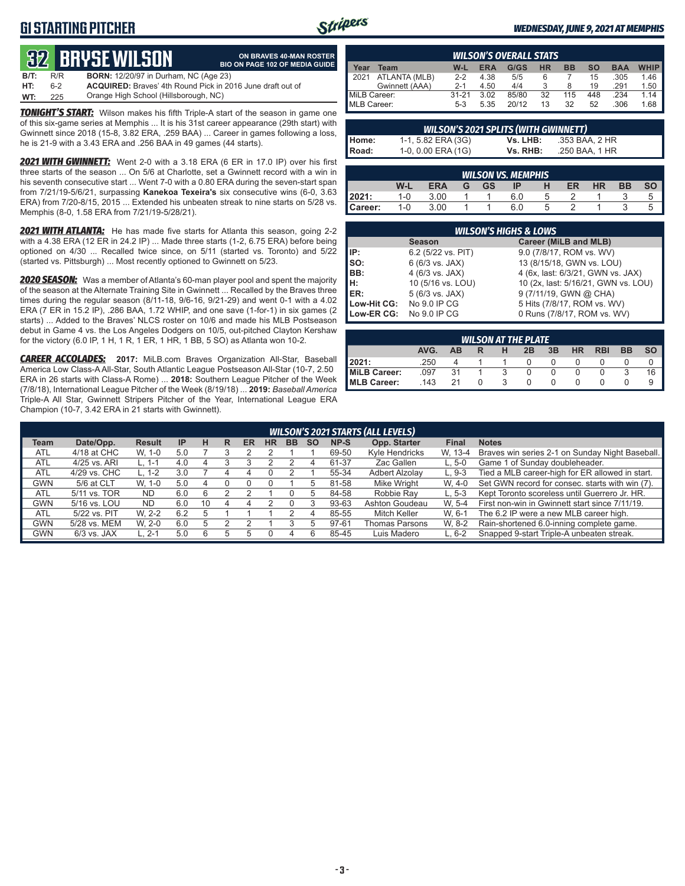## **G1 STARTING PITCHER**



**ON BRAVES 40-MAN ROSTER**

#### *WEDNESDAY, JUNE 9, 2021 AT MEMPHIS*

# **32****BRYSE WILSON**

|      |     | <b>QY4 DIIYJL WILJUN</b>                                          | <b>BIO ON PAGE 102 OF MEDIA GUIDE</b> |
|------|-----|-------------------------------------------------------------------|---------------------------------------|
| B/T: | R/R | <b>BORN:</b> 12/20/97 in Durham, NC (Age 23)                      |                                       |
| HT:  | հ-2 | <b>ACQUIRED:</b> Braves' 4th Round Pick in 2016 June draft out of |                                       |
| WT:  | 225 | Orange High School (Hillsborough, NC)                             |                                       |

**TONIGHT'S START:** Wilson makes his fifth Triple-A start of the season in game one of this six-game series at Memphis ... It is his 31st career appearance (29th start) with Gwinnett since 2018 (15-8, 3.82 ERA, .259 BAA) ... Career in games following a loss, he is 21-9 with a 3.43 ERA and .256 BAA in 49 games (44 starts).

*2021 WITH GWINNETT:* Went 2-0 with a 3.18 ERA (6 ER in 17.0 IP) over his first three starts of the season ... On 5/6 at Charlotte, set a Gwinnett record with a win in his seventh consecutive start ... Went 7-0 with a 0.80 ERA during the seven-start span from 7/21/19-5/6/21, surpassing **Kanekoa Texeira's** six consecutive wins (6-0, 3.63 ERA) from 7/20-8/15, 2015 ... Extended his unbeaten streak to nine starts on 5/28 vs. Memphis (8-0, 1.58 ERA from 7/21/19-5/28/21).

*2021 WITH ATLANTA:* He has made five starts for Atlanta this season, going 2-2 with a 4.38 ERA (12 ER in 24.2 IP) ... Made three starts (1-2, 6.75 ERA) before being optioned on 4/30 ... Recalled twice since, on 5/11 (started vs. Toronto) and 5/22 (started vs. Pittsburgh) ... Most recently optioned to Gwinnett on 5/23.

*2020 SEASON:* Was a member of Atlanta's 60-man player pool and spent the majority of the season at the Alternate Training Site in Gwinnett ... Recalled by the Braves three times during the regular season (8/11-18, 9/6-16, 9/21-29) and went 0-1 with a 4.02 ERA (7 ER in 15.2 IP), .286 BAA, 1.72 WHIP, and one save (1-for-1) in six games (2 starts) ... Added to the Braves' NLCS roster on 10/6 and made his MLB Postseason debut in Game 4 vs. the Los Angeles Dodgers on 10/5, out-pitched Clayton Kershaw for the victory (6.0 IP, 1 H, 1 R, 1 ER, 1 HR, 1 BB, 5 SO) as Atlanta won 10-2.

*CAREER ACCOLADES:* **2017:** MiLB.com Braves Organization All-Star, Baseball America Low Class-A All-Star, South Atlantic League Postseason All-Star (10-7, 2.50 ERA in 26 starts with Class-A Rome) ... **2018:** Southern League Pitcher of the Week (7/8/18), International League Pitcher of the Week (8/19/18) ... **2019:** *Baseball America*  Triple-A All Star, Gwinnett Stripers Pitcher of the Year, International League ERA Champion (10-7, 3.42 ERA in 21 starts with Gwinnett).

|              | <b>WILSON'S OVERALL STATS</b> |         |            |       |           |           |     |            |             |
|--------------|-------------------------------|---------|------------|-------|-----------|-----------|-----|------------|-------------|
| ear          | Team                          | W-L     | <b>ERA</b> | G/GS  | <b>HR</b> | <b>BB</b> | SΟ  | <b>BAA</b> | <b>WHIP</b> |
| 12021        | ATLANTA (MLB)                 | $2-2$   | 4.38       | 5/5   | 6         |           | 15  | .305       | 1.46        |
|              | Gwinnett (AAA)                | $2 - 1$ | 4.50       | 4/4   |           |           | 19  | .291       | 1.50        |
| MiLB Career: |                               | $31-21$ | 3.02       | 85/80 | 32        | 115       | 448 | .234       | 1.14        |
| MLB Career:  |                               | $5-3$   | 5.35       | 20/12 | 13        | 32        | 52  | .306       | 1.68        |

| <b>WILSON'S 2021 SPLITS (WITH GWINNETT)</b> |                    |          |                |  |  |  |  |  |  |  |
|---------------------------------------------|--------------------|----------|----------------|--|--|--|--|--|--|--|
| Home:                                       | 1-1, 5.82 ERA (3G) | Vs. LHB: | .353 BAA, 2 HR |  |  |  |  |  |  |  |
| Road:                                       | 1-0, 0.00 ERA (1G) | Vs. RHB: | .250 BAA, 1 HR |  |  |  |  |  |  |  |

| <b>WILSON VS. MEMPHIS</b> |         |            |  |    |     |  |    |    |    |  |
|---------------------------|---------|------------|--|----|-----|--|----|----|----|--|
|                           | W-L     | <b>ERA</b> |  | GS | IP  |  | ER | HR | ВB |  |
| 12021:                    | 1-0     | 3.00       |  |    | 6.0 |  |    |    |    |  |
| Career:                   | $1 - 0$ | 3.00       |  |    | 6.0 |  |    |    |    |  |

|                          | <b>WILSON'S HIGHS &amp; LOWS</b>       |                                     |  |  |  |  |  |  |  |
|--------------------------|----------------------------------------|-------------------------------------|--|--|--|--|--|--|--|
|                          | Career (MiLB and MLB)<br><b>Season</b> |                                     |  |  |  |  |  |  |  |
| <b>IIP:</b>              | 6.2 (5/22 vs. PIT)                     | 9.0 (7/8/17, ROM vs. WV)            |  |  |  |  |  |  |  |
| $\vert$ so:              | 6 (6/3 vs. JAX)                        | 13 (8/15/18, GWN vs. LOU)           |  |  |  |  |  |  |  |
| BB:                      | 4 (6/3 vs. JAX)                        | 4 (6x, last: 6/3/21, GWN vs. JAX)   |  |  |  |  |  |  |  |
| H:<br>ER:                | 10 (5/16 vs. LOU)                      | 10 (2x, last: 5/16/21, GWN vs. LOU) |  |  |  |  |  |  |  |
|                          | 5 (6/3 vs. JAX)                        | 9 (7/11/19, GWN @ CHA)              |  |  |  |  |  |  |  |
| Low-Hit CG: No 9.0 IP CG |                                        | 5 Hits (7/8/17, ROM vs. WV)         |  |  |  |  |  |  |  |
| Low-ER CG:               | No 9.0 IP CG                           | 0 Runs (7/8/17, ROM vs. WV)         |  |  |  |  |  |  |  |

| <b>WILSON AT THE PLATE</b> |      |    |  |   |    |    |           |            |           |      |
|----------------------------|------|----|--|---|----|----|-----------|------------|-----------|------|
|                            | AVG. | AB |  | н | 2B | 3B | <b>HR</b> | <b>RBI</b> | <b>BB</b> | so I |
| 12021:                     | .250 |    |  |   |    |    |           |            |           |      |
| MiLB Career:               | .097 | 31 |  |   |    |    |           |            |           | 16   |
| MLB Career:                | .143 | 21 |  |   |    |    |           |            |           |      |

|             | <b>WILSON'S 2021 STARTS (ALL LEVELS)</b> |               |           |    |   |    |    |           |           |       |                       |              |                                                 |
|-------------|------------------------------------------|---------------|-----------|----|---|----|----|-----------|-----------|-------|-----------------------|--------------|-------------------------------------------------|
| <b>Team</b> | Date/Opp.                                | <b>Result</b> | <b>IP</b> | н  | R | ER | ΗR | <b>BB</b> | <b>SO</b> | NP-S  | Opp. Starter          | <b>Final</b> | <b>Notes</b>                                    |
| <b>ATL</b>  | 4/18 at CHC                              | W. 1-0        | 5.0       |    |   |    |    |           |           | 69-50 | Kyle Hendricks        | W. 13-4      | Braves win series 2-1 on Sunday Night Baseball. |
| <b>ATL</b>  | 4/25 vs. ARI                             | L. 1-1        | 4.0       |    |   |    |    |           |           | 61-37 | Zac Gallen            | $L.5-0$      | Game 1 of Sunday doubleheader.                  |
| <b>ATL</b>  | 4/29 vs. CHC                             | L. 1-2        | 3.0       |    | 4 |    |    |           |           | 55-34 | <b>Adbert Alzolav</b> | $L.9-3$      | Tied a MLB career-high for ER allowed in start. |
| <b>GWN</b>  | 5/6 at CLT                               | $W. 1-0$      | 5.0       | 4  |   |    |    |           | h.        | 81-58 | Mike Wright           | W. 4-0       | Set GWN record for consec. starts with win (7). |
| <b>ATL</b>  | 5/11 vs. TOR                             | <b>ND</b>     | 6.0       | 6  |   |    |    |           | ٠h        | 84-58 | Robbie Ray            | $L.5-3$      | Kept Toronto scoreless until Guerrero Jr. HR.   |
| <b>GWN</b>  | 5/16 vs. LOU                             | ND.           | 6.0       | 10 |   |    |    |           |           | 93-63 | Ashton Goudeau        | W. 5-4       | First non-win in Gwinnett start since 7/11/19.  |
| <b>ATL</b>  | 5/22 vs. PIT                             | W. 2-2        | 6.2       | h  |   |    |    |           |           | 85-55 | Mitch Keller          | W. 6-1       | The 6.2 IP were a new MLB career high.          |
| <b>GWN</b>  | 5/28 vs. MEM                             | W. 2-0        | 6.0       |    |   |    |    |           |           | 97-61 | Thomas Parsons        | W. 8-2       | Rain-shortened 6.0-inning complete game.        |
| <b>GWN</b>  | $6/3$ vs. JAX                            | L. 2-1        | 5.0       | 6  |   |    |    |           | 6         | 85-45 | Luis Madero           | $L.6-2$      | Snapped 9-start Triple-A unbeaten streak.       |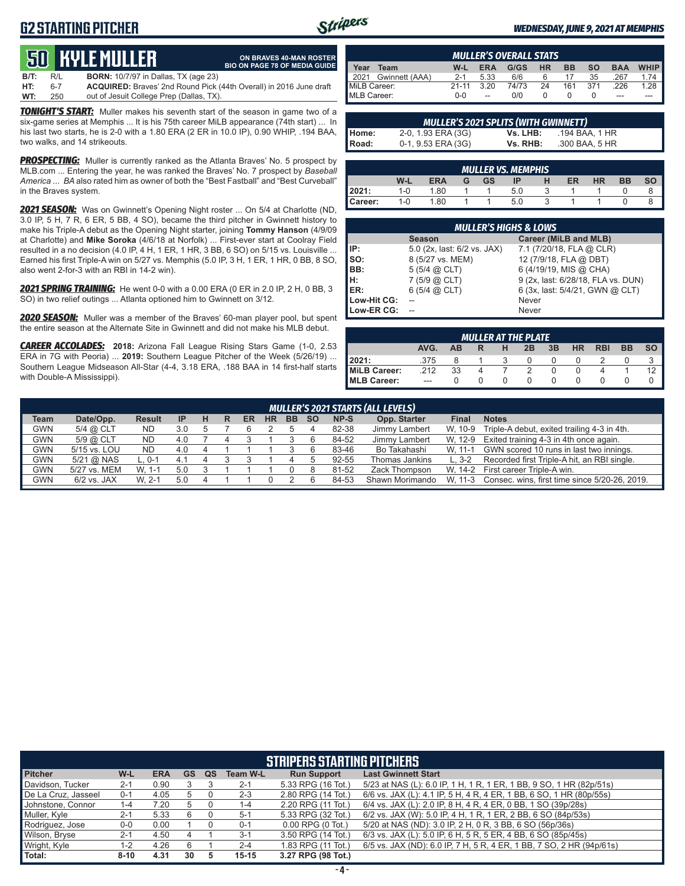## **G2 STARTING PITCHER**



#### *WEDNESDAY, JUNE 9, 2021 AT MEMPHIS*

# **50****KYLE MULLER**

|      |     | । SUL NYLL MULLEN ।                         | <b>ON BRAVES 40-MAN ROSTER</b><br><b>BIO ON PAGE 78 OF MEDIA GUIDE</b>    |
|------|-----|---------------------------------------------|---------------------------------------------------------------------------|
| B/T: | R/L | <b>BORN:</b> 10/7/97 in Dallas, TX (age 23) |                                                                           |
| HT:  | 6-7 |                                             | <b>ACQUIRED:</b> Braves' 2nd Round Pick (44th Overall) in 2016 June draft |
| WT:  | 250 | out of Jesuit College Prep (Dallas, TX).    |                                                                           |

*TONIGHT'S START:* Muller makes his seventh start of the season in game two of a six-game series at Memphis ... It is his 75th career MiLB appearance (74th start) ... In his last two starts, he is 2-0 with a 1.80 ERA (2 ER in 10.0 IP), 0.90 WHIP, .194 BAA, two walks, and 14 strikeouts.

*PROSPECTING:* Muller is currently ranked as the Atlanta Braves' No. 5 prospect by MLB.com ... Entering the year, he was ranked the Braves' No. 7 prospect by *Baseball America* ... *BA* also rated him as owner of both the "Best Fastball" and "Best Curveball" in the Braves system.

*2021 SEASON:* Was on Gwinnett's Opening Night roster ... On 5/4 at Charlotte (ND, 3.0 IP, 5 H, 7 R, 6 ER, 5 BB, 4 SO), became the third pitcher in Gwinnett history to make his Triple-A debut as the Opening Night starter, joining **Tommy Hanson** (4/9/09 at Charlotte) and **Mike Soroka** (4/6/18 at Norfolk) ... First-ever start at Coolray Field resulted in a no decision (4.0 IP, 4 H, 1 ER, 1 HR, 3 BB, 6 SO) on 5/15 vs. Louisville ... Earned his first Triple-A win on 5/27 vs. Memphis (5.0 IP, 3 H, 1 ER, 1 HR, 0 BB, 8 SO, also went 2-for-3 with an RBI in 14-2 win).

*2021 SPRING TRAINING:* He went 0-0 with a 0.00 ERA (0 ER in 2.0 IP, 2 H, 0 BB, 3 SO) in two relief outings ... Atlanta optioned him to Gwinnett on 3/12.

*2020 SEASON:* Muller was a member of the Braves' 60-man player pool, but spent the entire season at the Alternate Site in Gwinnett and did not make his MLB debut.

*CAREER ACCOLADES:* **2018:** Arizona Fall League Rising Stars Game (1-0, 2.53 ERA in 7G with Peoria) ... **2019:** Southern League Pitcher of the Week (5/26/19) ... Southern League Midseason All-Star (4-4, 3.18 ERA, .188 BAA in 14 first-half starts with Double-A Mississippi).

| <b>MULLER'S OVERALL STATS</b> |         |                          |       |           |           |     |            |        |
|-------------------------------|---------|--------------------------|-------|-----------|-----------|-----|------------|--------|
| Year<br>Team                  | W-L     | <b>ERA</b>               | G/GS  | <b>HR</b> | <b>BB</b> | SΟ  | <b>BAA</b> | WHIP I |
| Gwinnett (AAA)<br>2021        | $2 - 1$ | 5.33                     | 6/6   |           |           | 35  | 267        | 1.74   |
| MiLB Career:                  | $21-11$ | 320                      | 74/73 | 24        | 161       | 371 | 226        | 1.28   |
| MLB Career:                   | $0 - 0$ | $\overline{\phantom{a}}$ | 0/0   |           |           |     | ---        | ---    |

| <b>MULLER'S 2021 SPLITS (WITH GWINNETT)</b> |                    |          |                |  |  |  |  |  |  |  |
|---------------------------------------------|--------------------|----------|----------------|--|--|--|--|--|--|--|
| l Home:                                     | 2-0, 1.93 ERA (3G) | Vs. LHB: | .194 BAA. 1 HR |  |  |  |  |  |  |  |
| I Road:                                     | 0-1, 9.53 ERA (3G) | Vs. RHB: | .300 BAA, 5 HR |  |  |  |  |  |  |  |

| <b>MULLER VS. MEMPHIS</b> |         |            |   |           |     |  |    |    |    |    |
|---------------------------|---------|------------|---|-----------|-----|--|----|----|----|----|
|                           | W-L     | <b>ERA</b> | G | <b>GS</b> | ID  |  | ER | HR | вв | SΟ |
| 2021:                     | 1-0     | 1.80       |   |           | 5.0 |  |    |    |    |    |
| Career:                   | $1 - 0$ | 1.80       |   |           | 5.0 |  |    |    |    |    |

|             | <b>MULLER'S HIGHS &amp; LOWS</b> |                                    |  |  |  |  |  |  |  |
|-------------|----------------------------------|------------------------------------|--|--|--|--|--|--|--|
|             | <b>Season</b>                    | Career (MiLB and MLB)              |  |  |  |  |  |  |  |
| IP:         | 5.0 (2x, last: 6/2 vs. JAX)      | 7.1 (7/20/18, FLA @ CLR)           |  |  |  |  |  |  |  |
| Iso:        | 8 (5/27 vs. MEM)                 | 12 (7/9/18, FLA @ DBT)             |  |  |  |  |  |  |  |
| BB:         | $5(5/4)$ $(2)$ CLT)              | 6 (4/19/19, MIS @ CHA)             |  |  |  |  |  |  |  |
| Iн:         | $7(5/9)$ $(2)$ CLT)              | 9 (2x, last: 6/28/18, FLA vs. DUN) |  |  |  |  |  |  |  |
| <b>IER:</b> | $6(5/4)$ $(2)$ CLT)              | 6 (3x, last: 5/4/21, GWN @ CLT)    |  |  |  |  |  |  |  |
| Low-Hit CG: |                                  | Never                              |  |  |  |  |  |  |  |
| Low-ER CG:  |                                  | Never                              |  |  |  |  |  |  |  |

| <b>MULLER AT THE PLATE</b> |         |           |  |   |              |    |           |            |           |      |
|----------------------------|---------|-----------|--|---|--------------|----|-----------|------------|-----------|------|
|                            | AVG.    | <b>AR</b> |  | н | 2B           | 3B | <b>HR</b> | <b>RBI</b> | <b>BB</b> | SO I |
| 2021:                      | .375    |           |  |   | $\mathbf{0}$ |    |           |            |           |      |
| <b>MiLB Career:</b>        | .212    | 33        |  |   |              |    |           |            |           |      |
| MLB Career:                | $- - -$ |           |  |   |              |    |           |            |           |      |

|             | <b>MULLER'S 2021 STARTS (ALL LEVELS)</b> |               |     |   |   |    |           |           |           |       |                 |         |                                               |
|-------------|------------------------------------------|---------------|-----|---|---|----|-----------|-----------|-----------|-------|-----------------|---------|-----------------------------------------------|
| <b>Team</b> | Date/Opp.                                | <b>Result</b> | -IP | н | R | ER | <b>HR</b> | <b>BB</b> | <b>SO</b> | NP-S  | Opp. Starter    | Final   | <b>Notes</b>                                  |
| <b>GWN</b>  | 5/4 @ CLT                                | <b>ND</b>     | 3.0 |   |   |    |           |           |           | 82-38 | Jimmy Lambert   | W. 10-9 | Triple-A debut, exited trailing 4-3 in 4th.   |
| <b>GWN</b>  | 5/9 @ CLT                                | ND            | 4.0 |   |   |    |           |           |           | 84-52 | Jimmy Lambert   | W. 12-9 | Exited training 4-3 in 4th once again.        |
| GWN         | 5/15 vs. LOU                             | <b>ND</b>     | 4.0 |   |   |    |           |           |           | 83-46 | Bo Takahashi    | W. 11-1 | GWN scored 10 runs in last two innings.       |
| GWN         | $5/21$ @ NAS                             | $L. 0-1$      | 4.  |   |   |    |           |           |           | 92-55 | Thomas Jankins  | L. 3-2  | Recorded first Triple-A hit, an RBI single.   |
| GWN         | 5/27 vs. MEM                             | W. 1-1        | 5.0 |   |   |    |           |           |           | 81-52 | Zack Thompson   | W. 14-2 | First career Triple-A win.                    |
| <b>GWN</b>  | $6/2$ vs. JAX                            | W. 2-1        | 5.0 |   |   |    |           |           |           | 84-53 | Shawn Morimando | W. 11-3 | Consec. wins, first time since 5/20-26, 2019. |
|             |                                          |               |     |   |   |    |           |           |           |       |                 |         |                                               |

| <b>STRIPERS STARTING PITCHERS</b> |          |            |           |    |                 |                       |                                                                      |  |  |  |
|-----------------------------------|----------|------------|-----------|----|-----------------|-----------------------|----------------------------------------------------------------------|--|--|--|
| <b>Pitcher</b>                    | W-L      | <b>ERA</b> | <b>GS</b> | QS | <b>Team W-L</b> | <b>Run Support</b>    | <b>Last Gwinnett Start</b>                                           |  |  |  |
| Davidson, Tucker                  | $2 - 1$  | 0.90       |           |    | $2 - 1$         | 5.33 RPG (16 Tot.)    | 5/23 at NAS (L): 6.0 IP, 1 H, 1 R, 1 ER, 1 BB, 9 SO, 1 HR (82p/51s)  |  |  |  |
| De La Cruz, Jasseel               | $0 - 1$  | 4.05       | 5         |    | $2 - 3$         | 2.80 RPG (14 Tot.)    | 6/6 vs. JAX (L): 4.1 IP, 5 H, 4 R, 4 ER, 1 BB, 6 SO, 1 HR (80p/55s)  |  |  |  |
| Johnstone, Connor                 | 1-4      | 7.20       | 5         |    | 1-4             | 2.20 RPG (11 Tot.)    | 6/4 vs. JAX (L): 2.0 IP, 8 H, 4 R, 4 ER, 0 BB, 1 SO (39p/28s)        |  |  |  |
| Muller, Kyle                      | $2 - 1$  | 5.33       | 6         |    | $5 - 1$         | 5.33 RPG (32 Tot.)    | 6/2 vs. JAX (W): 5.0 IP, 4 H, 1 R, 1 ER, 2 BB, 6 SO (84p/53s)        |  |  |  |
| Rodriguez, Jose                   | $0-0$    | 0.00       |           |    | $0 - 1$         | $0.00$ RPG $(0$ Tot.) | 5/20 at NAS (ND): 3.0 IP, 2 H, 0 R, 3 BB, 6 SO (56p/36s)             |  |  |  |
| Wilson, Bryse                     | $2 - 1$  | 4.50       |           |    | $3 - 1$         | 3.50 RPG (14 Tot.)    | 6/3 vs. JAX (L): 5.0 IP, 6 H, 5 R, 5 ER, 4 BB, 6 SO (85p/45s)        |  |  |  |
| Wright, Kyle                      | 1-2      | 4.26       | 6         |    | $2 - 4$         | 1.83 RPG (11 Tot.)    | 6/5 vs. JAX (ND): 6.0 IP, 7 H, 5 R, 4 ER, 1 BB, 7 SO, 2 HR (94p/61s) |  |  |  |
| <b>Total:</b>                     | $8 - 10$ | 4.31       | 30        | 5  | $15 - 15$       | 3.27 RPG (98 Tot.)    |                                                                      |  |  |  |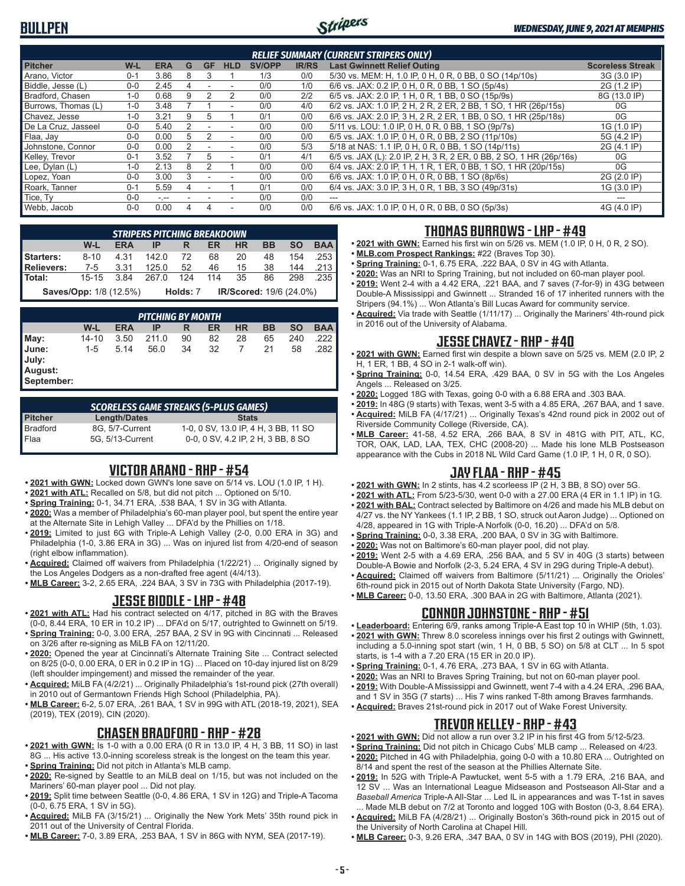## **BULLPEN**



#### *WEDNESDAY, JUNE 9, 2021 AT MEMPHIS*

| <b>RELIEF SUMMARY (CURRENT STRIPERS ONLY)</b> |         |            |   |           |                |               |              |                                                                     |                         |
|-----------------------------------------------|---------|------------|---|-----------|----------------|---------------|--------------|---------------------------------------------------------------------|-------------------------|
| <b>Pitcher</b>                                | W-L     | <b>ERA</b> | G | <b>GF</b> | <b>HLD</b>     | <b>SV/OPP</b> | <b>IR/RS</b> | <b>Last Gwinnett Relief Outing</b>                                  | <b>Scoreless Streak</b> |
| Arano, Victor                                 | $0 - 1$ | 3.86       | 8 | 3         |                | 1/3           | 0/0          | 5/30 vs. MEM: H, 1.0 IP, 0 H, 0 R, 0 BB, 0 SO (14p/10s)             | 3G (3.0 IP)             |
| Biddle, Jesse (L)                             | $0 - 0$ | 2.45       |   |           |                | 0/0           | 1/0          | 6/6 vs. JAX: 0.2 IP, 0 H, 0 R, 0 BB, 1 SO (5p/4s)                   | 2G (1.2 IP)             |
| Bradford, Chasen                              | $1 - 0$ | 0.68       |   |           |                | 0/0           | 2/2          | 6/5 vs. JAX: 2.0 IP, 1 H, 0 R, 1 BB, 0 SO (15p/9s)                  | 8G (13.0 IP)            |
| Burrows, Thomas (L)                           | $1-0$   | 3.48       |   |           |                | 0/0           | 4/0          | 6/2 vs. JAX: 1.0 IP, 2 H, 2 R, 2 ER, 2 BB, 1 SO, 1 HR (26p/15s)     | 0G                      |
| Chavez, Jesse                                 | $1 - 0$ | 3.21       | 9 | 5         |                | 0/1           | 0/0          | 6/6 vs. JAX: 2.0 IP, 3 H, 2 R, 2 ER, 1 BB, 0 SO, 1 HR (25p/18s)     | 0G                      |
| De La Cruz, Jasseel                           | $0-0$   | 5.40       | 2 |           | ٠              | 0/0           | 0/0          | 5/11 vs. LOU: 1.0 IP, 0 H, 0 R, 0 BB, 1 SO (9p/7s)                  | 1G (1.0 IP)             |
| Flaa, Jay                                     | $0 - 0$ | 0.00       | 5 |           | $\blacksquare$ | 0/0           | 0/0          | 6/5 vs. JAX: 1.0 IP, 0 H, 0 R, 0 BB, 2 SO (11p/10s)                 | 5G (4.2 IP)             |
| Johnstone, Connor                             | $0 - 0$ | 0.00       |   |           |                | 0/0           | 5/3          | 5/18 at NAS: 1.1 IP, 0 H, 0 R, 0 BB, 1 SO (14p/11s)                 | 2G (4.1 IP)             |
| Kelley, Trevor                                | $0 - 1$ | 3.52       |   | 5.        | ٠              | 0/1           | 4/1          | 6/5 vs. JAX (L): 2.0 IP, 2 H, 3 R, 2 ER, 0 BB, 2 SO, 1 HR (26p/16s) | 0G                      |
| Lee, Dylan (L)                                | $1 - 0$ | 2.13       | 8 |           |                | 0/0           | 0/0          | 6/4 vs. JAX: 2.0 IP, 1 H, 1 R, 1 ER, 0 BB, 1 SO, 1 HR (20p/15s)     | 0G                      |
| Lopez, Yoan                                   | $0 - 0$ | 3.00       | 3 |           |                | 0/0           | 0/0          | 6/6 vs. JAX: 1.0 IP, 0 H, 0 R, 0 BB, 1 SO (8p/6s)                   | 2G (2.0 IP)             |
| Roark, Tanner                                 | $0 - 1$ | 5.59       |   |           |                | 0/1           | 0/0          | 6/4 vs. JAX: 3.0 IP, 3 H, 0 R, 1 BB, 3 SO (49p/31s)                 | 1G (3.0 IP)             |
| Tice, Ty                                      | $0 - 0$ | $-1 - 1$   |   |           |                | 0/0           | 0/0          | ---                                                                 |                         |
| Webb, Jacob                                   | $0-0$   | 0.00       |   |           | ٠              | 0/0           | 0/0          | 6/6 vs. JAX: 1.0 IP, 0 H, 0 R, 0 BB, 0 SO (5p/3s)                   | 4G (4.0 IP)             |

|                  | <b>STRIPERS PITCHING BREAKDOWN</b> |            |       |          |           |                         |           |           |            |  |  |  |
|------------------|------------------------------------|------------|-------|----------|-----------|-------------------------|-----------|-----------|------------|--|--|--|
|                  | W-L                                | <b>ERA</b> |       | R        | <b>ER</b> | <b>HR</b>               | <b>BB</b> | <b>SO</b> | <b>BAA</b> |  |  |  |
| <b>Starters:</b> | $8 - 10$                           | 4.31       | 142.0 | 72       | 68        | 20                      | 48        | 154       | .253       |  |  |  |
| Relievers:       | 7-5 3.31                           |            | 125.0 | 52       | 46        | 15                      | 38        |           | 144 .213   |  |  |  |
| l Total:         | 15-15                              | 3.84       | 267.0 | - 124    | 114       | 35                      | 86        | 298       | .235       |  |  |  |
|                  | <b>Saves/Opp:</b> 1/8 (12.5%)      |            |       | Holds: 7 |           | IR/Scored: 19/6 (24.0%) |           |           |            |  |  |  |

|                                         | <b>PITCHING BY MONTH</b> |            |       |    |    |           |    |           |            |  |  |
|-----------------------------------------|--------------------------|------------|-------|----|----|-----------|----|-----------|------------|--|--|
|                                         | W-L                      | <b>ERA</b> | ΙP    | R  | ER | <b>HR</b> | BB | <b>SO</b> | <b>BAA</b> |  |  |
| May:                                    | 14-10                    | 3.50       | 211.0 | 90 | 82 | 28        | 65 | 240       | .222       |  |  |
| June:<br>July:<br>August:<br>September: | $1-5$                    | 5.14       | 56.0  | 34 | 32 |           | 21 | 58        | .282       |  |  |

*SCORELESS GAME STREAKS (5-PLUS GAMES)* **Pitcher Length/Dates Stats** Bradford 8G, 5/7-Current 1-0, 0 SV, 13.0 IP, 4 H, 3 BB, 11 SO Flaa 5G, 5/13-Current 0-0, 0 SV, 4.2 IP, 2 H, 3 BB, 8 SO

### **VICTOR ARANO - RHP - #54**

- **• 2021 with GWN:** Locked down GWN's lone save on 5/14 vs. LOU (1.0 IP, 1 H).
- **• 2021 with ATL:** Recalled on 5/8, but did not pitch ... Optioned on 5/10.
- **• Spring Training:** 0-1, 34.71 ERA, .538 BAA, 1 SV in 3G with Atlanta.
- **• 2020:** Was a member of Philadelphia's 60-man player pool, but spent the entire year at the Alternate Site in Lehigh Valley ... DFA'd by the Phillies on 1/18.
- **• 2019:** Limited to just 6G with Triple-A Lehigh Valley (2-0, 0.00 ERA in 3G) and Philadelphia (1-0, 3.86 ERA in 3G) ... Was on injured list from 4/20-end of season (right elbow inflammation).
- **• Acquired:** Claimed off waivers from Philadelphia (1/22/21) ... Originally signed by the Los Angeles Dodgers as a non-drafted free agent (4/4/13).
- **• MLB Career:** 3-2, 2.65 ERA, .224 BAA, 3 SV in 73G with Philadelphia (2017-19).

### **JESSE BIDDLE - LHP - #48**

- **• 2021 with ATL:** Had his contract selected on 4/17, pitched in 8G with the Braves (0-0, 8.44 ERA, 10 ER in 10.2 IP) ... DFA'd on 5/17, outrighted to Gwinnett on 5/19.
- **• Spring Training:** 0-0, 3.00 ERA, .257 BAA, 2 SV in 9G with Cincinnati ... Released on 3/26 after re-signing as MiLB FA on 12/11/20.
- **• 2020:** Opened the year at Cincinnati's Alternate Training Site ... Contract selected on 8/25 (0-0, 0.00 ERA, 0 ER in 0.2 IP in 1G) ... Placed on 10-day injured list on 8/29 (left shoulder impingement) and missed the remainder of the year.
- **• Acquired:** MiLB FA (4/2/21) ... Originally Philadelphia's 1st-round pick (27th overall) in 2010 out of Germantown Friends High School (Philadelphia, PA).
- **• MLB Career:** 6-2, 5.07 ERA, .261 BAA, 1 SV in 99G with ATL (2018-19, 2021), SEA (2019), TEX (2019), CIN (2020).

## **CHASEN BRADFORD - RHP - #28**

- **• 2021 with GWN:** Is 1-0 with a 0.00 ERA (0 R in 13.0 IP, 4 H, 3 BB, 11 SO) in last 8G ... His active 13.0-inning scoreless streak is the longest on the team this year.
- **• Spring Training:** Did not pitch in Atlanta's MLB camp.
- **• 2020:** Re-signed by Seattle to an MiLB deal on 1/15, but was not included on the Mariners' 60-man player pool ... Did not play.
- **• 2019:** Split time between Seattle (0-0, 4.86 ERA, 1 SV in 12G) and Triple-A Tacoma (0-0, 6.75 ERA, 1 SV in 5G).
- **• Acquired:** MiLB FA (3/15/21) ... Originally the New York Mets' 35th round pick in 2011 out of the University of Central Florida.
- **• MLB Career:** 7-0, 3.89 ERA, .253 BAA, 1 SV in 86G with NYM, SEA (2017-19).

## **THOMAS BURROWS - LHP - #49**

- **• 2021 with GWN:** Earned his first win on 5/26 vs. MEM (1.0 IP, 0 H, 0 R, 2 SO).
- **• MLB.com Prospect Rankings:** #22 (Braves Top 30).
- **• Spring Training:** 0-1, 6.75 ERA, .222 BAA, 0 SV in 4G with Atlanta.
- **• 2020:** Was an NRI to Spring Training, but not included on 60-man player pool. **• 2019:** Went 2-4 with a 4.42 ERA, .221 BAA, and 7 saves (7-for-9) in 43G between Double-A Mississippi and Gwinnett ... Stranded 16 of 17 inherited runners with the Stripers (94.1%) ... Won Atlanta's Bill Lucas Award for community service.
- **• Acquired:** Via trade with Seattle (1/11/17) ... Originally the Mariners' 4th-round pick in 2016 out of the University of Alabama.

## **JESSE CHAVEZ - RHP - #40**

- **• 2021 with GWN:** Earned first win despite a blown save on 5/25 vs. MEM (2.0 IP, 2 H, 1 ER, 1 BB, 4 SO in 2-1 walk-off win).
- **• Spring Training:** 0-0, 14.54 ERA, .429 BAA, 0 SV in 5G with the Los Angeles Angels ... Released on 3/25.
- **• 2020:** Logged 18G with Texas, going 0-0 with a 6.88 ERA and .303 BAA.
- **• 2019:** In 48G (9 starts) with Texas, went 3-5 with a 4.85 ERA, .267 BAA, and 1 save. **• Acquired:** MiLB FA (4/17/21) ... Originally Texas's 42nd round pick in 2002 out of
- Riverside Community College (Riverside, CA). **• MLB Career:** 41-58, 4.52 ERA, .266 BAA, 8 SV in 481G with PIT, ATL, KC, TOR, OAK, LAD, LAA, TEX, CHC (2008-20) ... Made his lone MLB Postseason appearance with the Cubs in 2018 NL Wild Card Game (1.0 IP, 1 H, 0 R, 0 SO).

## **JAY FLAA - RHP - #45**

- **• 2021 with GWN:** In 2 stints, has 4.2 scorleess IP (2 H, 3 BB, 8 SO) over 5G.
- **• 2021 with ATL:** From 5/23-5/30, went 0-0 with a 27.00 ERA (4 ER in 1.1 IP) in 1G.
- **• 2021 with BAL:** Contract selected by Baltimore on 4/26 and made his MLB debut on 4/27 vs. the NY Yankees (1.1 IP, 2 BB, 1 SO, struck out Aaron Judge) ... Optioned on
- 4/28, appeared in 1G with Triple-A Norfolk (0-0, 16.20) ... DFA'd on 5/8.
- **• Spring Training:** 0-0, 3.38 ERA, .200 BAA, 0 SV in 3G with Baltimore. **• 2020:** Was not on Baltimore's 60-man player pool, did not play.
- **• 2019:** Went 2-5 with a 4.69 ERA, .256 BAA, and 5 SV in 40G (3 starts) between Double-A Bowie and Norfolk (2-3, 5.24 ERA, 4 SV in 29G during Triple-A debut).
- **• Acquired:** Claimed off waivers from Baltimore (5/11/21) ... Originally the Orioles' 6th-round pick in 2015 out of North Dakota State University (Fargo, ND).
- **• MLB Career:** 0-0, 13.50 ERA, .300 BAA in 2G with Baltimore, Atlanta (2021).

## **CONNOR JOHNSTONE - RHP - #51**

- **• Leaderboard:** Entering 6/9, ranks among Triple-A East top 10 in WHIP (5th, 1.03).
- **• 2021 with GWN:** Threw 8.0 scoreless innings over his first 2 outings with Gwinnett, including a 5.0-inning spot start (win, 1 H, 0 BB, 5 SO) on 5/8 at CLT ... In 5 spot starts, is 1-4 with a 7.20 ERA (15 ER in 20.0 IP).
- **• Spring Training:** 0-1, 4.76 ERA, .273 BAA, 1 SV in 6G with Atlanta.
- **• 2020:** Was an NRI to Braves Spring Training, but not on 60-man player pool.
- **• 2019:** With Double-A Mississippi and Gwinnett, went 7-4 with a 4.24 ERA, .296 BAA, and 1 SV in 35G (7 starts) ... His 7 wins ranked T-8th among Braves farmhands.
- **• Acquired:** Braves 21st-round pick in 2017 out of Wake Forest University.

## **TREVOR KELLEY - RHP - #43**

- **• 2021 with GWN:** Did not allow a run over 3.2 IP in his first 4G from 5/12-5/23.
- **• Spring Training:** Did not pitch in Chicago Cubs' MLB camp ... Released on 4/23. **• 2020:** Pitched in 4G with Philadelphia, going 0-0 with a 10.80 ERA ... Outrighted on 8/14 and spent the rest of the season at the Phillies Alternate Site.
- **• 2019:** In 52G with Triple-A Pawtucket, went 5-5 with a 1.79 ERA, .216 BAA, and 12 SV ... Was an International League Midseason and Postseason All-Star and a *Baseball America* Triple-A All-Star ... Led IL in appearances and was T-1st in saves ... Made MLB debut on 7/2 at Toronto and logged 10G with Boston (0-3, 8.64 ERA).
- **• Acquired:** MiLB FA (4/28/21) ... Originally Boston's 36th-round pick in 2015 out of the University of North Carolina at Chapel Hill.
- **• MLB Career:** 0-3, 9.26 ERA, .347 BAA, 0 SV in 14G with BOS (2019), PHI (2020).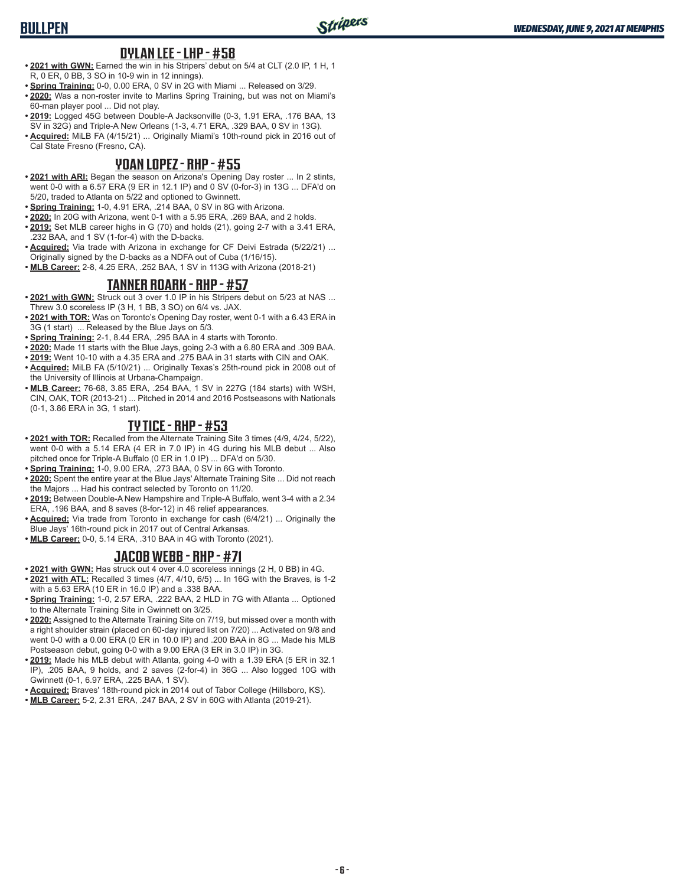#### **DYLAN LEE - LHP - #58**

- **• 2021 with GWN:** Earned the win in his Stripers' debut on 5/4 at CLT (2.0 IP, 1 H, 1 R, 0 ER, 0 BB, 3 SO in 10-9 win in 12 innings).
- **• Spring Training:** 0-0, 0.00 ERA, 0 SV in 2G with Miami ... Released on 3/29.
- **• 2020:** Was a non-roster invite to Marlins Spring Training, but was not on Miami's 60-man player pool ... Did not play.
- **• 2019:** Logged 45G between Double-A Jacksonville (0-3, 1.91 ERA, .176 BAA, 13 SV in 32G) and Triple-A New Orleans (1-3, 4.71 ERA, .329 BAA, 0 SV in 13G).
- **• Acquired:** MiLB FA (4/15/21) ... Originally Miami's 10th-round pick in 2016 out of Cal State Fresno (Fresno, CA).

#### **YOAN LOPEZ - RHP - #55**

- **• 2021 with ARI:** Began the season on Arizona's Opening Day roster ... In 2 stints, went 0-0 with a 6.57 ERA (9 ER in 12.1 IP) and 0 SV (0-for-3) in 13G ... DFA'd on 5/20, traded to Atlanta on 5/22 and optioned to Gwinnett.
- **• Spring Training:** 1-0, 4.91 ERA, .214 BAA, 0 SV in 8G with Arizona.
- **• 2020:** In 20G with Arizona, went 0-1 with a 5.95 ERA, .269 BAA, and 2 holds.
- **• 2019:** Set MLB career highs in G (70) and holds (21), going 2-7 with a 3.41 ERA, .232 BAA, and 1 SV (1-for-4) with the D-backs.
- **• Acquired:** Via trade with Arizona in exchange for CF Deivi Estrada (5/22/21) ... Originally signed by the D-backs as a NDFA out of Cuba (1/16/15).
- **• MLB Career:** 2-8, 4.25 ERA, .252 BAA, 1 SV in 113G with Arizona (2018-21)

#### **TANNER ROARK - RHP - #57**

- **• 2021 with GWN:** Struck out 3 over 1.0 IP in his Stripers debut on 5/23 at NAS ... Threw 3.0 scoreless IP (3 H, 1 BB, 3 SO) on 6/4 vs. JAX.
- **• 2021 with TOR:** Was on Toronto's Opening Day roster, went 0-1 with a 6.43 ERA in 3G (1 start) ... Released by the Blue Jays on 5/3.
- **• Spring Training:** 2-1, 8.44 ERA, .295 BAA in 4 starts with Toronto.
- **• 2020:** Made 11 starts with the Blue Jays, going 2-3 with a 6.80 ERA and .309 BAA.
- **• 2019:** Went 10-10 with a 4.35 ERA and .275 BAA in 31 starts with CIN and OAK.
- **• Acquired:** MiLB FA (5/10/21) ... Originally Texas's 25th-round pick in 2008 out of the University of Illinois at Urbana-Champaign.
- **• MLB Career:** 76-68, 3.85 ERA, .254 BAA, 1 SV in 227G (184 starts) with WSH, CIN, OAK, TOR (2013-21) ... Pitched in 2014 and 2016 Postseasons with Nationals (0-1, 3.86 ERA in 3G, 1 start).

#### **TY TICE - RHP - #53**

- **• 2021 with TOR:** Recalled from the Alternate Training Site 3 times (4/9, 4/24, 5/22), went 0-0 with a 5.14 ERA (4 ER in 7.0 IP) in 4G during his MLB debut ... Also pitched once for Triple-A Buffalo (0 ER in 1.0 IP) ... DFA'd on 5/30.
- **• Spring Training:** 1-0, 9.00 ERA, .273 BAA, 0 SV in 6G with Toronto.
- **• 2020:** Spent the entire year at the Blue Jays' Alternate Training Site ... Did not reach the Majors ... Had his contract selected by Toronto on 11/20.
- **• 2019:** Between Double-A New Hampshire and Triple-A Buffalo, went 3-4 with a 2.34 ERA, .196 BAA, and 8 saves (8-for-12) in 46 relief appearances.
- **• Acquired:** Via trade from Toronto in exchange for cash (6/4/21) ... Originally the Blue Jays' 16th-round pick in 2017 out of Central Arkansas.
- **• MLB Career:** 0-0, 5.14 ERA, .310 BAA in 4G with Toronto (2021).

#### **JACOB WEBB - RHP - #71**

- **• 2021 with GWN:** Has struck out 4 over 4.0 scoreless innings (2 H, 0 BB) in 4G. **• 2021 with ATL:** Recalled 3 times (4/7, 4/10, 6/5) ... In 16G with the Braves, is 1-2
- with a 5.63 ERA (10 ER in 16.0 IP) and a .338 BAA. **• Spring Training:** 1-0, 2.57 ERA, .222 BAA, 2 HLD in 7G with Atlanta ... Optioned
- to the Alternate Training Site in Gwinnett on 3/25. **• 2020:** Assigned to the Alternate Training Site on 7/19, but missed over a month with
- a right shoulder strain (placed on 60-day injured list on 7/20) ... Activated on 9/8 and went 0-0 with a 0.00 ERA (0 ER in 10.0 IP) and .200 BAA in 8G ... Made his MLB Postseason debut, going 0-0 with a 9.00 ERA (3 ER in 3.0 IP) in 3G.
- **• 2019:** Made his MLB debut with Atlanta, going 4-0 with a 1.39 ERA (5 ER in 32.1 IP), .205 BAA, 9 holds, and 2 saves (2-for-4) in 36G ... Also logged 10G with Gwinnett (0-1, 6.97 ERA, .225 BAA, 1 SV).
- **• Acquired:** Braves' 18th-round pick in 2014 out of Tabor College (Hillsboro, KS).
- **• MLB Career:** 5-2, 2.31 ERA, .247 BAA, 2 SV in 60G with Atlanta (2019-21).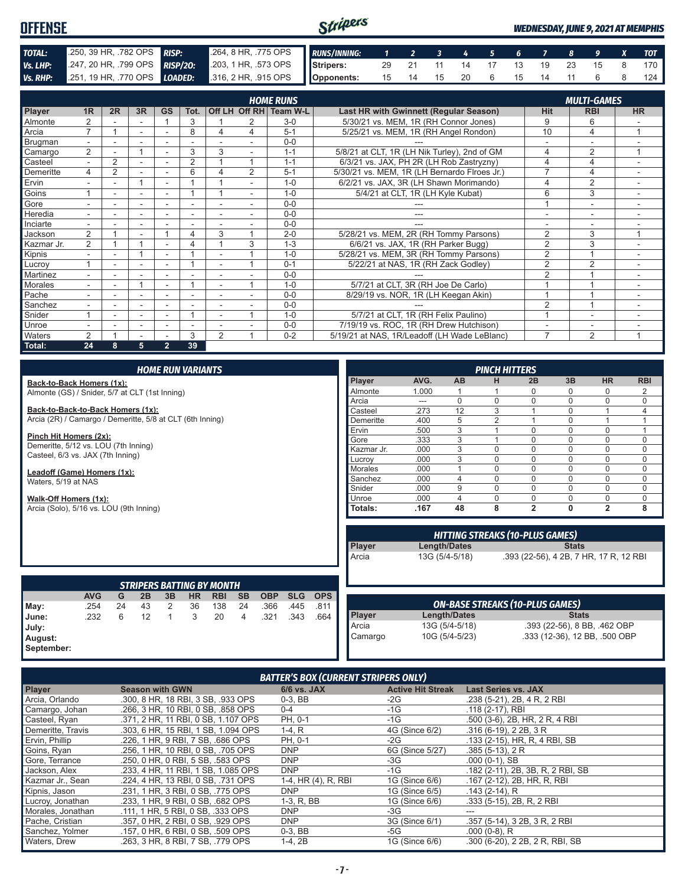#### Stripers **OFFENSE** *WEDNESDAY, JUNE 9, 2021 AT MEMPHIS TOTAL:* .250, 39 HR, .782 OPS *RISP:* .264, 8 HR, .775 OPS *RUNS/INNING: 1 2 3 4 5 6 7 8 9 X TOT* **Vs. LHP:** .247, 20 HR, .799 OPS **RISP/20:** .203, 1 HR, .573 OPS **Vs. RHP:** .251, 19 HR, .770 OPS **LOADED:** .316, 2 HR, .915 OPS **Stripers:** 29 21 11 14 17 13 19 23 15 8 170 *Vs. RHP:* .251, 19 HR, .770 OPS *LOADED:* **Opponents:** 15 14 15 20 6 15 14 11 6 8 124

|                | <b>HOME RUNS</b><br><b>MULTI-GAMES</b> |                |                          |                          |                          |                |               |          |                                              |                |                |                          |
|----------------|----------------------------------------|----------------|--------------------------|--------------------------|--------------------------|----------------|---------------|----------|----------------------------------------------|----------------|----------------|--------------------------|
| <b>Player</b>  | 1R                                     | 2R             | 3R                       | <b>GS</b>                | Tot.                     |                | Off LH Off RH | Team W-L | Last HR with Gwinnett (Regular Season)       | <b>Hit</b>     | <b>RBI</b>     | <b>HR</b>                |
| Almonte        | 2                                      |                |                          |                          | 3                        |                |               | $3-0$    | 5/30/21 vs. MEM, 1R (RH Connor Jones)        | 9              | 6              |                          |
| Arcia          | $\overline{7}$                         |                | $\sim$                   | $\overline{\phantom{a}}$ | 8                        | 4              | 4             | $5 - 1$  | 5/25/21 vs. MEM, 1R (RH Angel Rondon)        | 10             | 4              | $\overline{ }$           |
| Brugman        | $\blacksquare$                         |                |                          |                          |                          |                |               | $0 - 0$  |                                              |                |                |                          |
| Camargo        | $\overline{2}$                         |                |                          |                          | 3                        | 3              | ۰.            | $1 - 1$  | 5/8/21 at CLT, 1R (LH Nik Turley), 2nd of GM | 4              | $\overline{2}$ | 1                        |
| Casteel        | $\overline{\phantom{0}}$               | $\overline{2}$ |                          |                          | 2                        |                |               | $1 - 1$  | 6/3/21 vs. JAX, PH 2R (LH Rob Zastryzny)     | 4              | 4              |                          |
| Demeritte      | 4                                      | $\overline{2}$ |                          | $\overline{\phantom{a}}$ | 6                        | Δ              | 2             | $5 - 1$  | 5/30/21 vs. MEM, 1R (LH Bernardo Flroes Jr.) | 7              | 4              | ٠                        |
| Ervin          |                                        |                | 1                        |                          |                          |                |               | $1 - 0$  | 6/2/21 vs. JAX, 3R (LH Shawn Morimando)      | 4              | $\overline{2}$ |                          |
| Goins          |                                        | ÷              | $\overline{\phantom{a}}$ | $\overline{\phantom{a}}$ |                          |                | н.            | $1 - 0$  | 5/4/21 at CLT, 1R (LH Kyle Kubat)            | 6              | 3              | $\overline{\phantom{0}}$ |
| Gore           |                                        |                |                          |                          |                          |                |               | $0 - 0$  |                                              |                |                |                          |
| Heredia        |                                        |                |                          |                          |                          |                |               | $0 - 0$  |                                              |                |                |                          |
| Inciarte       |                                        |                |                          |                          |                          |                |               | $0 - 0$  |                                              |                |                |                          |
| Jackson        | 2                                      |                | $\overline{\phantom{a}}$ |                          | 4                        | 3              |               | $2 - 0$  | 5/28/21 vs. MEM, 2R (RH Tommy Parsons)       | $\overline{2}$ | 3              | $\overline{ }$           |
| Kazmar Jr.     | 2                                      |                |                          |                          | 4                        |                | 3             | $1 - 3$  | 6/6/21 vs. JAX, 1R (RH Parker Bugg)          | $\overline{2}$ | 3              |                          |
| Kipnis         |                                        |                |                          |                          |                          |                |               | $1 - 0$  | 5/28/21 vs. MEM, 3R (RH Tommy Parsons)       | $\overline{2}$ |                |                          |
| Lucroy         |                                        |                |                          |                          |                          |                |               | $0 - 1$  | 5/22/21 at NAS, 1R (RH Zack Godley)          | $\overline{2}$ | $\overline{2}$ | $\overline{\phantom{a}}$ |
| Martinez       | $\overline{\phantom{0}}$               | ۰              |                          | $\overline{\phantom{a}}$ |                          |                |               | $0 - 0$  |                                              | $\overline{2}$ |                | ۰                        |
| <b>Morales</b> | $\overline{\phantom{0}}$               | ۰              |                          |                          |                          |                |               | $1 - 0$  | 5/7/21 at CLT, 3R (RH Joe De Carlo)          |                |                |                          |
| Pache          |                                        |                |                          |                          |                          |                |               | $0 - 0$  | 8/29/19 vs. NOR, 1R (LH Keegan Akin)         |                |                |                          |
| Sanchez        |                                        |                |                          |                          |                          |                |               | $0 - 0$  |                                              | 2              |                |                          |
| Snider         |                                        |                |                          |                          |                          |                |               | $1 - 0$  | 5/7/21 at CLT, 1R (RH Felix Paulino)         |                |                |                          |
| Unroe          |                                        |                | $\overline{\phantom{a}}$ | ۰                        | $\overline{\phantom{a}}$ |                |               | $0 - 0$  | 7/19/19 vs. ROC, 1R (RH Drew Hutchison)      |                | ۰              |                          |
| Waters         | $\overline{2}$                         |                |                          |                          | 3                        | $\overline{2}$ |               | $0 - 2$  | 5/19/21 at NAS, 1R/Leadoff (LH Wade LeBlanc) | $\overline{7}$ | $\overline{2}$ | 4                        |
| Total:         | 24                                     | 8              | 5                        | $\overline{2}$           | 39                       |                |               |          |                                              |                |                |                          |

|                                                           |            |    |    |              | <b>HOME RUN VARIANTS</b> |                                  |           |            |            |            |                |                |                | <b>PINCH HITTERS</b> |                                        |              |                                        |              |
|-----------------------------------------------------------|------------|----|----|--------------|--------------------------|----------------------------------|-----------|------------|------------|------------|----------------|----------------|----------------|----------------------|----------------------------------------|--------------|----------------------------------------|--------------|
| Back-to-Back Homers (1x):                                 |            |    |    |              |                          |                                  |           |            |            |            | Player         | AVG.           | <b>AB</b>      | н                    | 2B                                     | 3B           | <b>HR</b>                              | <b>RBI</b>   |
| Almonte (GS) / Snider, 5/7 at CLT (1st Inning)            |            |    |    |              |                          |                                  |           |            |            |            | Almonte        | 1.000          |                |                      | $\Omega$                               | $\Omega$     | $\Omega$                               | 2            |
|                                                           |            |    |    |              |                          |                                  |           |            |            |            | Arcia          | ---            | $\Omega$       | $\Omega$             | 0                                      | $\Omega$     | 0                                      | 0            |
| Back-to-Back-to-Back Homers (1x):                         |            |    |    |              |                          |                                  |           |            |            |            | Casteel        | .273           | 12             | 3                    |                                        | $\Omega$     |                                        | 4            |
| Arcia (2R) / Camargo / Demeritte, 5/8 at CLT (6th Inning) |            |    |    |              |                          |                                  |           |            |            |            | Demeritte      | .400           | 5              | $\overline{2}$       |                                        | $\Omega$     |                                        | $\mathbf{1}$ |
|                                                           |            |    |    |              |                          |                                  |           |            |            |            | Ervin          | .500           | 3              |                      | 0                                      | $\Omega$     | 0                                      | $\mathbf{1}$ |
| Pinch Hit Homers (2x):                                    |            |    |    |              |                          |                                  |           |            |            |            | Gore           | .333           | 3              |                      | $\Omega$                               | $\Omega$     | 0                                      | $\mathbf 0$  |
| Demeritte, 5/12 vs. LOU (7th Inning)                      |            |    |    |              |                          |                                  |           |            |            |            | Kazmar Jr.     | .000           | 3              | 0                    | 0                                      | $\Omega$     | 0                                      | 0            |
| Casteel, 6/3 vs. JAX (7th Inning)                         |            |    |    |              |                          |                                  |           |            | Lucroy     | .000       | 3              | $\Omega$       | $\Omega$       | $\Omega$             | $\Omega$                               | 0            |                                        |              |
| Leadoff (Game) Homers (1x):                               |            |    |    |              |                          |                                  |           |            |            |            | Morales        | .000           |                | $\Omega$             | $\Omega$                               | $\Omega$     | $\Omega$                               | 0            |
| Waters, 5/19 at NAS                                       |            |    |    |              |                          |                                  |           |            |            | Sanchez    | .000           | $\overline{4}$ | 0              | $\Omega$             | $\Omega$                               | $\Omega$     | 0                                      |              |
|                                                           |            |    |    |              |                          |                                  |           |            | Snider     | .000.      | 9              | $\Omega$       | $\Omega$       | $\Omega$             | $\Omega$                               | 0            |                                        |              |
| Walk-Off Homers (1x):                                     |            |    |    |              |                          |                                  |           |            | Unroe      | .000       | $\overline{4}$ | $\Omega$       | 0              | $\Omega$             | 0                                      | 0            |                                        |              |
| Arcia (Solo), 5/16 vs. LOU (9th Inning)                   |            |    |    |              |                          |                                  |           |            |            |            | Totals:        | .167           | 48             | 8                    | $\overline{2}$                         | 0            | $\overline{2}$                         | 8            |
|                                                           |            |    |    |              |                          |                                  |           |            |            |            |                |                |                |                      |                                        |              |                                        |              |
|                                                           |            |    |    |              |                          |                                  |           |            |            |            |                |                |                |                      | <b>HITTING STREAKS (10-PLUS GAMES)</b> |              |                                        |              |
|                                                           |            |    |    |              |                          |                                  |           |            |            |            | Player         |                | Length/Dates   |                      |                                        | <b>Stats</b> |                                        |              |
|                                                           |            |    |    |              |                          |                                  |           |            |            |            | Arcia          |                | 13G (5/4-5/18) |                      |                                        |              | .393 (22-56), 4 2B, 7 HR, 17 R, 12 RBI |              |
|                                                           |            |    |    |              |                          |                                  |           |            |            |            |                |                |                |                      |                                        |              |                                        |              |
|                                                           |            |    |    |              |                          |                                  |           |            |            |            |                |                |                |                      |                                        |              |                                        |              |
|                                                           |            |    |    |              |                          | <b>STRIPERS BATTING BY MONTH</b> |           |            |            |            |                |                |                |                      |                                        |              |                                        |              |
|                                                           | <b>AVG</b> | G  | 2B | 3B           | <b>HR</b>                | <b>RBI</b>                       | <b>SB</b> | <b>OBP</b> | <b>SLG</b> | <b>OPS</b> |                |                |                |                      |                                        |              |                                        |              |
| May:                                                      | .254       | 24 | 43 | 2            | 36                       | 138                              | 24        | .366       | .445       | .811       |                |                |                |                      | <b>ON-BASE STREAKS (10-PLUS GAMES)</b> |              |                                        |              |
| June:                                                     | .232       | 6  | 12 | $\mathbf{1}$ | 3                        | 20                               | 4         | .321       | .343       | .664       | Player         |                | Length/Dates   |                      |                                        | <b>Stats</b> |                                        |              |
| July:                                                     |            |    |    |              |                          |                                  |           |            |            |            | Arcia          |                | 13G (5/4-5/18) |                      |                                        |              | .393 (22-56), 8 BB, .462 OBP           |              |
| August:                                                   |            |    |    |              |                          |                                  |           |            |            |            | Camargo        |                | 10G (5/4-5/23) |                      |                                        |              | .333 (12-36), 12 BB, .500 OBP          |              |

| <b>BATTER'S BOX (CURRENT STRIPERS ONLY)</b> |
|---------------------------------------------|
|                                             |

I

**September:**

| <b>Player</b>     | <b>Season with GWN</b>              | 6/6 vs. JAX         | <b>Active Hit Streak</b> | <b>Last Series vs. JAX</b>        |
|-------------------|-------------------------------------|---------------------|--------------------------|-----------------------------------|
| Arcia, Orlando    | .300, 8 HR, 18 RBI, 3 SB, .933 OPS  | $0-3$ , BB          | -2G                      | .238 (5-21), 2B, 4 R, 2 RBI       |
| Camargo, Johan    | .266, 3 HR, 10 RBI, 0 SB, .858 OPS  | $0 - 4$             | $-1G$                    | .118 (2-17), RBI                  |
| Casteel, Ryan     | .371, 2 HR, 11 RBI, 0 SB, 1.107 OPS | PH, 0-1             | $-1G$                    | .500 (3-6), 2B, HR, 2 R, 4 RBI    |
| Demeritte, Travis | .303, 6 HR, 15 RBI, 1 SB, 1.094 OPS | $1-4, R$            | 4G (Since 6/2)           | $.316(6-19)$ , 2 2B, 3 R          |
| Ervin, Phillip    | .226, 1 HR, 9 RBI, 7 SB, .686 OPS   | PH, 0-1             | $-2G$                    | .133 (2-15), HR, R, 4 RBI, SB     |
| Goins, Ryan       | .256, 1 HR, 10 RBI, 0 SB, .705 OPS  | <b>DNP</b>          | 6G (Since 5/27)          | $.385(5-13)$ , 2 R                |
| Gore, Terrance    | .250, 0 HR, 0 RBI, 5 SB, .583 OPS   | DNP                 | $-3G$                    | $.000(0-1)$ , SB                  |
| Jackson, Alex     | .233, 4 HR, 11 RBI, 1 SB, 1.085 OPS | <b>DNP</b>          | $-1G$                    | .182 (2-11), 2B, 3B, R, 2 RBI, SB |
| Kazmar Jr., Sean  | .224, 4 HR, 13 RBI, 0 SB, .731 OPS  | 1-4, HR (4), R, RBI | 1G (Since 6/6)           | .167 (2-12), 2B, HR, R, RBI       |
| Kipnis, Jason     | .231, 1 HR, 3 RBI, 0 SB, .775 OPS   | <b>DNP</b>          | 1G (Since 6/5)           | $.143(2-14)$ , R                  |
| Lucroy, Jonathan  | .233, 1 HR, 9 RBI, 0 SB, .682 OPS   | $1-3, R, BB$        | 1G (Since 6/6)           | .333 (5-15), 2B, R, 2 RBI         |
| Morales, Jonathan | .111, 1 HR, 5 RBI, 0 SB, .333 OPS   | DNP                 | $-3G$                    | ---                               |
| Pache, Cristian   | .357, 0 HR, 2 RBI, 0 SB, .929 OPS   | <b>DNP</b>          | 3G (Since 6/1)           | .357 (5-14), 3 2B, 3 R, 2 RBI     |
| Sanchez, Yolmer   | .157. 0 HR. 6 RBI. 0 SB. .509 OPS   | $0-3$ , BB          | -5G                      | $.000(0-8)$ , R                   |
| Waters, Drew      | .263, 3 HR, 8 RBI, 7 SB, .779 OPS   | $1-4, 2B$           | 1G (Since 6/6)           | .300 (6-20), 2 2B, 2 R, RBI, SB   |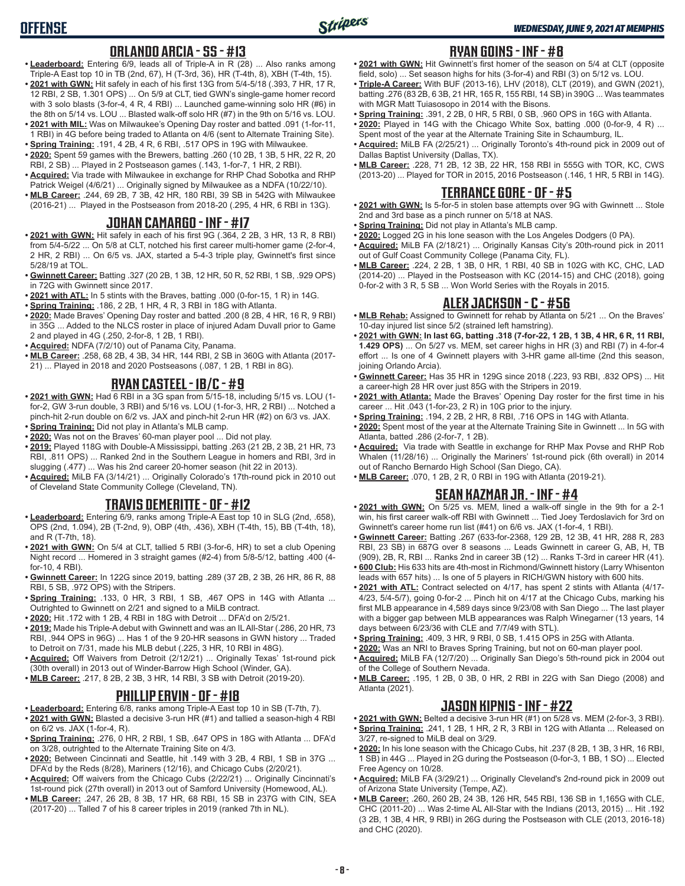### **ORLANDO ARCIA - SS - #13**

- **• Leaderboard:** Entering 6/9, leads all of Triple-A in R (28) ... Also ranks among Triple-A East top 10 in TB (2nd, 67), H (T-3rd, 36), HR (T-4th, 8), XBH (T-4th, 15).
- **• 2021 with GWN:** Hit safely in each of his first 13G from 5/4-5/18 (.393, 7 HR, 17 R, 12 RBI, 2 SB, 1.301 OPS) ... On 5/9 at CLT, tied GWN's single-game homer record with 3 solo blasts (3-for-4, 4 R, 4 RBI) ... Launched game-winning solo HR (#6) in the 8th on 5/14 vs. LOU ... Blasted walk-off solo HR (#7) in the 9th on 5/16 vs. LOU.
- **• 2021 with MIL:** Was on Milwaukee's Opening Day roster and batted .091 (1-for-11, 1 RBI) in 4G before being traded to Atlanta on 4/6 (sent to Alternate Training Site).
- **• Spring Training:** .191, 4 2B, 4 R, 6 RBI, .517 OPS in 19G with Milwaukee. **• 2020:** Spent 59 games with the Brewers, batting .260 (10 2B, 1 3B, 5 HR, 22 R, 20
- RBI, 2 SB) ... Played in 2 Postseason games (.143, 1-for-7, 1 HR, 2 RBI). **• Acquired:** Via trade with Milwaukee in exchange for RHP Chad Sobotka and RHP
- Patrick Weigel (4/6/21) ... Originally signed by Milwaukee as a NDFA (10/22/10).
- **• MLB Career:** .244, 69 2B, 7 3B, 42 HR, 180 RBI, 39 SB in 542G with Milwaukee (2016-21) ... Played in the Postseason from 2018-20 (.295, 4 HR, 6 RBI in 13G).

#### **JOHAN CAMARGO - INF - #17**

- **• 2021 with GWN:** Hit safely in each of his first 9G (.364, 2 2B, 3 HR, 13 R, 8 RBI) from 5/4-5/22 ... On 5/8 at CLT, notched his first career multi-homer game (2-for-4, 2 HR, 2 RBI) ... On 6/5 vs. JAX, started a 5-4-3 triple play, Gwinnett's first since 5/28/19 at TOL.
- **• Gwinnett Career:** Batting .327 (20 2B, 1 3B, 12 HR, 50 R, 52 RBI, 1 SB, .929 OPS) in 72G with Gwinnett since 2017.
- **• 2021 with ATL:** In 5 stints with the Braves, batting .000 (0-for-15, 1 R) in 14G.
- **• Spring Training:** .186, 2 2B, 1 HR, 4 R, 3 RBI in 18G with Atlanta.
- **• 2020:** Made Braves' Opening Day roster and batted .200 (8 2B, 4 HR, 16 R, 9 RBI) in 35G ... Added to the NLCS roster in place of injured Adam Duvall prior to Game 2 and played in 4G (.250, 2-for-8, 1 2B, 1 RBI).
- **• Acquired:** NDFA (7/2/10) out of Panama City, Panama.
- **• MLB Career:** .258, 68 2B, 4 3B, 34 HR, 144 RBI, 2 SB in 360G with Atlanta (2017- 21) ... Played in 2018 and 2020 Postseasons (.087, 1 2B, 1 RBI in 8G).

#### **RYAN CASTEEL - 1B/C - #9**

- **• 2021 with GWN:** Had 6 RBI in a 3G span from 5/15-18, including 5/15 vs. LOU (1 for-2, GW 3-run double, 3 RBI) and 5/16 vs. LOU (1-for-3, HR, 2 RBI) ... Notched a pinch-hit 2-run double on 6/2 vs. JAX and pinch-hit 2-run HR (#2) on 6/3 vs. JAX.
- **• Spring Training:** Did not play in Atlanta's MLB camp.
- **• 2020:** Was not on the Braves' 60-man player pool ... Did not play. **• 2019:** Played 118G with Double-A Mississippi, batting .263 (21 2B, 2 3B, 21 HR, 73 RBI, .811 OPS) ... Ranked 2nd in the Southern League in homers and RBI, 3rd in slugging (.477) ... Was his 2nd career 20-homer season (hit 22 in 2013).
- **• Acquired:** MiLB FA (3/14/21) ... Originally Colorado's 17th-round pick in 2010 out of Cleveland State Community College (Cleveland, TN).

### **TRAVIS DEMERITTE - OF - #12**

- **• Leaderboard:** Entering 6/9, ranks among Triple-A East top 10 in SLG (2nd, .658), OPS (2nd, 1.094), 2B (T-2nd, 9), OBP (4th, .436), XBH (T-4th, 15), BB (T-4th, 18), and R (T-7th, 18).
- **• 2021 with GWN:** On 5/4 at CLT, tallied 5 RBI (3-for-6, HR) to set a club Opening Night record ... Homered in 3 straight games (#2-4) from 5/8-5/12, batting .400 (4 for-10, 4 RBI).
- **• Gwinnett Career:** In 122G since 2019, batting .289 (37 2B, 2 3B, 26 HR, 86 R, 88 RBI, 5 SB, .972 OPS) with the Stripers.
- **• Spring Training:** .133, 0 HR, 3 RBI, 1 SB, .467 OPS in 14G with Atlanta ... Outrighted to Gwinnett on 2/21 and signed to a MiLB contract.
- **• 2020:** Hit .172 with 1 2B, 4 RBI in 18G with Detroit ... DFA'd on 2/5/21.
- **• 2019:** Made his Triple-A debut with Gwinnett and was an IL All-Star (.286, 20 HR, 73 RBI, .944 OPS in 96G) ... Has 1 of the 9 20-HR seasons in GWN history ... Traded to Detroit on 7/31, made his MLB debut (.225, 3 HR, 10 RBI in 48G).
- **• Acquired:** Off Waivers from Detroit (2/12/21) ... Originally Texas' 1st-round pick (30th overall) in 2013 out of Winder-Barrow High School (Winder, GA).
- **• MLB Career:** .217, 8 2B, 2 3B, 3 HR, 14 RBI, 3 SB with Detroit (2019-20).

## **PHILLIP ERVIN - OF - #18**

- **• Leaderboard:** Entering 6/8, ranks among Triple-A East top 10 in SB (T-7th, 7).
- **• 2021 with GWN:** Blasted a decisive 3-run HR (#1) and tallied a season-high 4 RBI on 6/2 vs. JAX (1-for-4, R).
- **• Spring Training:** .276, 0 HR, 2 RBI, 1 SB, .647 OPS in 18G with Atlanta ... DFA'd on 3/28, outrighted to the Alternate Training Site on 4/3.
- **• 2020:** Between Cincinnati and Seattle, hit .149 with 3 2B, 4 RBI, 1 SB in 37G ... DFA'd by the Reds (8/28), Mariners (12/16), and Chicago Cubs (2/20/21).
- **• Acquired:** Off waivers from the Chicago Cubs (2/22/21) ... Originally Cincinnati's 1st-round pick (27th overall) in 2013 out of Samford University (Homewood, AL).
- **• MLB Career:** .247, 26 2B, 8 3B, 17 HR, 68 RBI, 15 SB in 237G with CIN, SEA (2017-20) ... Talled 7 of his 8 career triples in 2019 (ranked 7th in NL).

### **RYAN GOINS - INF - #8**

- **• 2021 with GWN:** Hit Gwinnett's first homer of the season on 5/4 at CLT (opposite field, solo) ... Set season highs for hits (3-for-4) and RBI (3) on 5/12 vs. LOU.
- **• Triple-A Career:** With BUF (2013-16), LHV (2018), CLT (2019), and GWN (2021), batting .276 (83 2B, 6 3B, 21 HR, 165 R, 155 RBI, 14 SB) in 390G ... Was teammates with MGR Matt Tuiasosopo in 2014 with the Bisons.
- **• Spring Training:** .391, 2 2B, 0 HR, 5 RBI, 0 SB, .960 OPS in 16G with Atlanta.
- **• 2020:** Played in 14G with the Chicago White Sox, batting .000 (0-for-9, 4 R) ... Spent most of the year at the Alternate Training Site in Schaumburg, IL.
- **• Acquired:** MiLB FA (2/25/21) ... Originally Toronto's 4th-round pick in 2009 out of Dallas Baptist University (Dallas, TX).
- **• MLB Career:** .228, 71 2B, 12 3B, 22 HR, 158 RBI in 555G with TOR, KC, CWS (2013-20) ... Played for TOR in 2015, 2016 Postseason (.146, 1 HR, 5 RBI in 14G).

#### **TERRANCE GORE - OF - #5**

- **• 2021 with GWN:** Is 5-for-5 in stolen base attempts over 9G with Gwinnett ... Stole 2nd and 3rd base as a pinch runner on 5/18 at NAS.
- **• Spring Training:** Did not play in Atlanta's MLB camp.
- **• 2020:** Logged 2G in his lone season with the Los Angeles Dodgers (0 PA).
- **• Acquired:** MiLB FA (2/18/21) ... Originally Kansas City's 20th-round pick in 2011 out of Gulf Coast Community College (Panama City, FL).
- **• MLB Career:** .224, 2 2B, 1 3B, 0 HR, 1 RBI, 40 SB in 102G with KC, CHC, LAD (2014-20) ... Played in the Postseason with KC (2014-15) and CHC (2018), going 0-for-2 with 3 R, 5 SB ... Won World Series with the Royals in 2015.

### **ALEX JACKSON - C - #56**

- **• MLB Rehab:** Assigned to Gwinnett for rehab by Atlanta on 5/21 ... On the Braves' 10-day injured list since 5/2 (strained left hamstring).
- **• 2021 with GWN: In last 6G, batting .318 (7-for-22, 1 2B, 1 3B, 4 HR, 6 R, 11 RBI, 1.429 OPS)** ... On 5/27 vs. MEM, set career highs in HR (3) and RBI (7) in 4-for-4 effort ... Is one of 4 Gwinnett players with 3-HR game all-time (2nd this season, joining Orlando Arcia).
- **• Gwinnett Career:** Has 35 HR in 129G since 2018 (.223, 93 RBI, .832 OPS) ... Hit a career-high 28 HR over just 85G with the Stripers in 2019.
- **• 2021 with Atlanta:** Made the Braves' Opening Day roster for the first time in his career ... Hit .043 (1-for-23, 2 R) in 10G prior to the injury.
- **• Spring Training:** .194, 2 2B, 2 HR, 8 RBI, .716 OPS in 14G with Atlanta.
- **• 2020:** Spent most of the year at the Alternate Training Site in Gwinnett ... In 5G with Atlanta, batted .286 (2-for-7, 1 2B).
- **• Acquired:** Via trade with Seattle in exchange for RHP Max Povse and RHP Rob Whalen (11/28/16) ... Originally the Mariners' 1st-round pick (6th overall) in 2014 out of Rancho Bernardo High School (San Diego, CA).
- **• MLB Career:** .070, 1 2B, 2 R, 0 RBI in 19G with Atlanta (2019-21).

#### **SEAN KAZMAR JR. - INF - #4**

- **• 2021 with GWN:** On 5/25 vs. MEM, lined a walk-off single in the 9th for a 2-1 win, his first career walk-off RBI with Gwinnett ... Tied Joey Terdoslavich for 3rd on Gwinnett's career home run list (#41) on 6/6 vs. JAX (1-for-4, 1 RBI).
- **• Gwinnett Career:** Batting .267 (633-for-2368, 129 2B, 12 3B, 41 HR, 288 R, 283 RBI, 23 SB) in 687G over 8 seasons ... Leads Gwinnett in career G, AB, H, TB (909), 2B, R, RBI ... Ranks 2nd in career 3B (12) ... Ranks T-3rd in career HR (41).
- **• 600 Club:** His 633 hits are 4th-most in Richmond/Gwinnett history (Larry Whisenton leads with 657 hits) ... Is one of 5 players in RICH/GWN history with 600 hits.
- **• 2021 with ATL:** Contract selected on 4/17, has spent 2 stints with Atlanta (4/17- 4/23, 5/4-5/7), going 0-for-2 ... Pinch hit on 4/17 at the Chicago Cubs, marking his first MLB appearance in 4,589 days since 9/23/08 with San Diego ... The last player with a bigger gap between MLB appearances was Ralph Winegarner (13 years, 14 days between 6/23/36 with CLE and 7/7/49 with STL).
- **• Spring Training:** .409, 3 HR, 9 RBI, 0 SB, 1.415 OPS in 25G with Atlanta.
- **• 2020:** Was an NRI to Braves Spring Training, but not on 60-man player pool.
- **• Acquired:** MiLB FA (12/7/20) ... Originally San Diego's 5th-round pick in 2004 out of the College of Southern Nevada.
- **• MLB Career:** .195, 1 2B, 0 3B, 0 HR, 2 RBI in 22G with San Diego (2008) and Atlanta (2021).

### **JASON KIPNIS - INF - #22**

- **• 2021 with GWN:** Belted a decisive 3-run HR (#1) on 5/28 vs. MEM (2-for-3, 3 RBI). **• Spring Training:** .241, 1 2B, 1 HR, 2 R, 3 RBI in 12G with Atlanta ... Released on
- 3/27, re-signed to MiLB deal on 3/29.
- **• 2020:** In his lone season with the Chicago Cubs, hit .237 (8 2B, 1 3B, 3 HR, 16 RBI, 1 SB) in 44G ... Played in 2G during the Postseason (0-for-3, 1 BB, 1 SO) ... Elected Free Agency on 10/28.
- **• Acquired:** MiLB FA (3/29/21) ... Originally Cleveland's 2nd-round pick in 2009 out of Arizona State University (Tempe, AZ).
- **• MLB Career:** .260, 260 2B, 24 3B, 126 HR, 545 RBI, 136 SB in 1,165G with CLE, CHC (2011-20) ... Was 2-time AL All-Star with the Indians (2013, 2015) ... Hit .192 (3 2B, 1 3B, 4 HR, 9 RBI) in 26G during the Postseason with CLE (2013, 2016-18) and CHC (2020).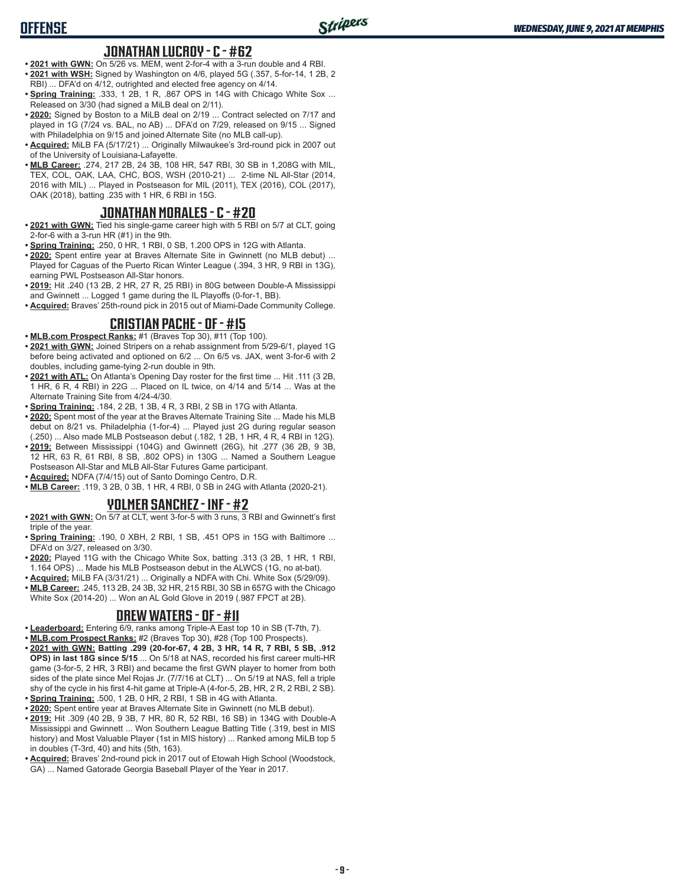## **OFFENSE**

#### **JONATHAN LUCROY - C - #62**

- **• 2021 with GWN:** On 5/26 vs. MEM, went 2-for-4 with a 3-run double and 4 RBI. **• 2021 with WSH:** Signed by Washington on 4/6, played 5G (.357, 5-for-14, 1 2B, 2 RBI) ... DFA'd on 4/12, outrighted and elected free agency on 4/14.
- **Spring Training: .333, 1 2B, 1 R, .867 OPS in 14G with Chicago White Sox ...** Released on 3/30 (had signed a MiLB deal on 2/11).
- **• 2020:** Signed by Boston to a MiLB deal on 2/19 ... Contract selected on 7/17 and played in 1G (7/24 vs. BAL, no AB) ... DFA'd on 7/29, released on 9/15 ... Signed with Philadelphia on 9/15 and joined Alternate Site (no MLB call-up).
- **• Acquired:** MiLB FA (5/17/21) ... Originally Milwaukee's 3rd-round pick in 2007 out of the University of Louisiana-Lafayette.
- **• MLB Career:** .274, 217 2B, 24 3B, 108 HR, 547 RBI, 30 SB in 1,208G with MIL, TEX, COL, OAK, LAA, CHC, BOS, WSH (2010-21) ... 2-time NL All-Star (2014, 2016 with MIL) ... Played in Postseason for MIL (2011), TEX (2016), COL (2017), OAK (2018), batting .235 with 1 HR, 6 RBI in 15G.

### **JONATHAN MORALES - C - #20**

- **• 2021 with GWN:** Tied his single-game career high with 5 RBI on 5/7 at CLT, going 2-for-6 with a 3-run HR (#1) in the 9th.
- **• Spring Training:** .250, 0 HR, 1 RBI, 0 SB, 1.200 OPS in 12G with Atlanta.
- **• 2020:** Spent entire year at Braves Alternate Site in Gwinnett (no MLB debut) ... Played for Caguas of the Puerto Rican Winter League (.394, 3 HR, 9 RBI in 13G), earning PWL Postseason All-Star honors.
- **• 2019:** Hit .240 (13 2B, 2 HR, 27 R, 25 RBI) in 80G between Double-A Mississippi and Gwinnett ... Logged 1 game during the IL Playoffs (0-for-1, BB).
- **• Acquired:** Braves' 25th-round pick in 2015 out of Miami-Dade Community College.

### **CRISTIAN PACHE - OF - #15**

- **• MLB.com Prospect Ranks:** #1 (Braves Top 30), #11 (Top 100).
- **• 2021 with GWN:** Joined Stripers on a rehab assignment from 5/29-6/1, played 1G before being activated and optioned on 6/2 ... On 6/5 vs. JAX, went 3-for-6 with 2 doubles, including game-tying 2-run double in 9th.
- **• 2021 with ATL:** On Atlanta's Opening Day roster for the first time ... Hit .111 (3 2B, 1 HR, 6 R, 4 RBI) in 22G ... Placed on IL twice, on 4/14 and 5/14 ... Was at the Alternate Training Site from 4/24-4/30.
- **• Spring Training:** .184, 2 2B, 1 3B, 4 R, 3 RBI, 2 SB in 17G with Atlanta.
- **• 2020:** Spent most of the year at the Braves Alternate Training Site ... Made his MLB debut on 8/21 vs. Philadelphia (1-for-4) ... Played just 2G during regular season (.250) ... Also made MLB Postseason debut (.182, 1 2B, 1 HR, 4 R, 4 RBI in 12G).
- **• 2019:** Between Mississippi (104G) and Gwinnett (26G), hit .277 (36 2B, 9 3B, 12 HR, 63 R, 61 RBI, 8 SB, .802 OPS) in 130G ... Named a Southern League Postseason All-Star and MLB All-Star Futures Game participant.
- **• Acquired:** NDFA (7/4/15) out of Santo Domingo Centro, D.R.
- **• MLB Career:** .119, 3 2B, 0 3B, 1 HR, 4 RBI, 0 SB in 24G with Atlanta (2020-21).

### **YOLMER SANCHEZ - INF - #2**

- **• 2021 with GWN:** On 5/7 at CLT, went 3-for-5 with 3 runs, 3 RBI and Gwinnett's first triple of the year.
- **• Spring Training:** .190, 0 XBH, 2 RBI, 1 SB, .451 OPS in 15G with Baltimore ... DFA'd on 3/27, released on 3/30.
- **• 2020:** Played 11G with the Chicago White Sox, batting .313 (3 2B, 1 HR, 1 RBI, 1.164 OPS) ... Made his MLB Postseason debut in the ALWCS (1G, no at-bat).
- **• Acquired:** MiLB FA (3/31/21) ... Originally a NDFA with Chi. White Sox (5/29/09). **• MLB Career:** .245, 113 2B, 24 3B, 32 HR, 215 RBI, 30 SB in 657G with the Chicago White Sox (2014-20) ... Won an AL Gold Glove in 2019 (.987 FPCT at 2B).

### **DREW WATERS - OF - #11**

- **• Leaderboard:** Entering 6/9, ranks among Triple-A East top 10 in SB (T-7th, 7).
- **• MLB.com Prospect Ranks:** #2 (Braves Top 30), #28 (Top 100 Prospects).
- **• 2021 with GWN: Batting .299 (20-for-67, 4 2B, 3 HR, 14 R, 7 RBI, 5 SB, .912 OPS) in last 18G since 5/15** ... On 5/18 at NAS, recorded his first career multi-HR game (3-for-5, 2 HR, 3 RBI) and became the first GWN player to homer from both sides of the plate since Mel Rojas Jr. (7/7/16 at CLT) ... On 5/19 at NAS, fell a triple shy of the cycle in his first 4-hit game at Triple-A (4-for-5, 2B, HR, 2 R, 2 RBI, 2 SB).
- **• Spring Training:** .500, 1 2B, 0 HR, 2 RBI, 1 SB in 4G with Atlanta.
- **• 2020:** Spent entire year at Braves Alternate Site in Gwinnett (no MLB debut). **• 2019:** Hit .309 (40 2B, 9 3B, 7 HR, 80 R, 52 RBI, 16 SB) in 134G with Double-A Mississippi and Gwinnett ... Won Southern League Batting Title (.319, best in MIS history) and Most Valuable Player (1st in MIS history) ... Ranked among MiLB top 5 in doubles (T-3rd, 40) and hits (5th, 163).
- **• Acquired:** Braves' 2nd-round pick in 2017 out of Etowah High School (Woodstock, GA) ... Named Gatorade Georgia Baseball Player of the Year in 2017.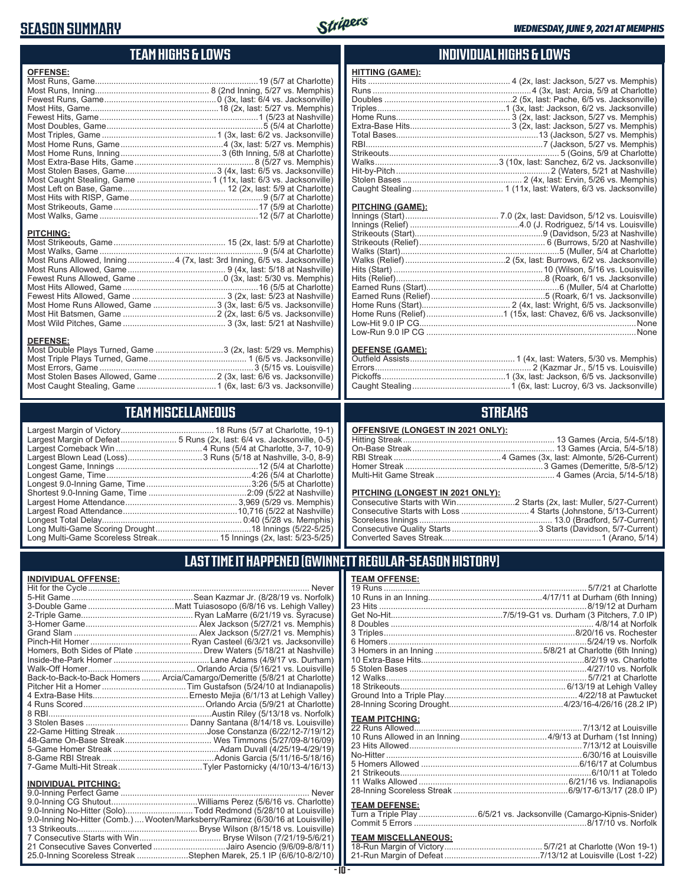## **SEASON SUMMARY**



### **TEAM HIGHS & LOWS**

| <b>OFFENSE:</b>                                                         |  |
|-------------------------------------------------------------------------|--|
|                                                                         |  |
|                                                                         |  |
|                                                                         |  |
|                                                                         |  |
|                                                                         |  |
|                                                                         |  |
|                                                                         |  |
|                                                                         |  |
|                                                                         |  |
|                                                                         |  |
|                                                                         |  |
|                                                                         |  |
|                                                                         |  |
|                                                                         |  |
|                                                                         |  |
|                                                                         |  |
|                                                                         |  |
| <b>PITCHING:</b>                                                        |  |
|                                                                         |  |
|                                                                         |  |
| Most Runs Allowed. Inning4 (7x. last: 3rd Inning. 6/5 vs. Jacksonville) |  |

#### Most Runs Allowed, Inning....................4 (7x, last: 3rd Inning, 6/5 vs. Jacksonville) Most Runs Allowed, Game .......................................... 9 (4x, last: 5/18 at Nashville) Fewest Runs Allowed, Game .....................................0 (3x, last: 5/30 vs. Memphis) Most Hits Allowed, Game ..........................................................16 (5/5 at Charlotte) Fewest Hits Allowed, Game ........................................ 3 (2x, last: 5/23 at Nashville) Most Home Runs Allowed, Game ...........................3 (3x, last: 6/5 vs. Jacksonville) Most Hit Batsmen, Game ........................................2 (2x, last: 6/5 vs. Jacksonville) Most Wild Pitches, Game ............................................ 3 (3x, last: 5/21 at Nashville)

#### **DEFENSE:**

| Most Double Plays Turned, Game 3 (2x, last: 5/29 vs. Memphis)       |  |
|---------------------------------------------------------------------|--|
|                                                                     |  |
|                                                                     |  |
| Most Stolen Bases Allowed, Game  2 (3x, last: 6/6 vs. Jacksonville) |  |
|                                                                     |  |
|                                                                     |  |

## **TEAM MISCELLANEOUS**

| Longest Game, Time……………………………………………………4:26 (5/4 at Charlotte)       |
|---------------------------------------------------------------------|
| Longest 9.0-Inning Game, Time………………………………………3:26 (5/5 at Charlotte) |
|                                                                     |
|                                                                     |
|                                                                     |
|                                                                     |
|                                                                     |
| Long Multi-Game Scoreless Streak 15 Innings (2x, last: 5/23-5/25)   |
|                                                                     |

### **INDIVIDUAL HIGHS & LOWS**

| <b>HITTING (GAME):</b> |  |
|------------------------|--|
|                        |  |
|                        |  |
|                        |  |
|                        |  |
|                        |  |
|                        |  |
|                        |  |
|                        |  |
|                        |  |
|                        |  |
|                        |  |
|                        |  |
|                        |  |
|                        |  |

#### **PITCHING (GAME):**

| .None |
|-------|
|       |
|       |

#### **DEFENSE (GAME):**

#### **STREAKS**

#### **OFFENSIVE (LONGEST IN 2021 ONLY):**

#### **PITCHING (LONGEST IN 2021 ONLY):**

### **LAST TIME IT HAPPENED (GWINNETT REGULAR-SEASON HISTORY)**

#### **INDIVIDUAL OFFENSE:**

|                             | Back-to-Back-to-Back Homers  Arcia/Camargo/Demeritte (5/8/21 at Charlotte) |
|-----------------------------|----------------------------------------------------------------------------|
|                             |                                                                            |
|                             |                                                                            |
|                             |                                                                            |
|                             |                                                                            |
|                             |                                                                            |
|                             |                                                                            |
|                             |                                                                            |
|                             |                                                                            |
|                             |                                                                            |
|                             |                                                                            |
|                             |                                                                            |
| <b>INDIVIDUAL PITCHING:</b> |                                                                            |
|                             | $\overline{a}$                                                             |
|                             |                                                                            |

| 9.0-Inning No-Hitter (Solo)Todd Redmond (5/28/10 at Louisville)                 |  |
|---------------------------------------------------------------------------------|--|
| 9.0-Inning No-Hitter (Comb.)  Wooten/Marksberry/Ramirez (6/30/16 at Louisville) |  |
|                                                                                 |  |
|                                                                                 |  |
| 21 Consecutive Saves Converted Jairo Asencio (9/6/09-8/8/11)                    |  |
| 25.0-Inning Scoreless Streak Stephen Marek, 25.1 IP (6/6/10-8/2/10)             |  |
|                                                                                 |  |

# **TEAM OFFENSE:**<br>19 Runs................

| <b>TEAM PITCHING:</b> |  |
|-----------------------|--|
|                       |  |
|                       |  |
|                       |  |
|                       |  |
|                       |  |
|                       |  |
|                       |  |
|                       |  |

#### **TEAM DEFENSE:**

| Turn a Triple Play 6/5/21 vs. Jacksonville (Camargo-Kipnis-Snider) |
|--------------------------------------------------------------------|
|                                                                    |

## **TEAM MISCELLANEOUS:**<br>18-Run Margin of Victory....